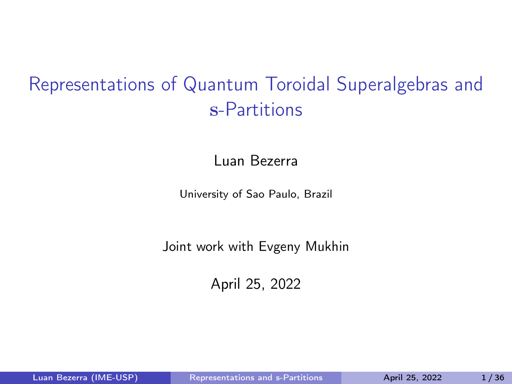# <span id="page-0-0"></span>Representations of Quantum Toroidal Superalgebras and s-Partitions

Luan Bezerra

University of Sao Paulo, Brazil

Joint work with Evgeny Mukhin

April 25, 2022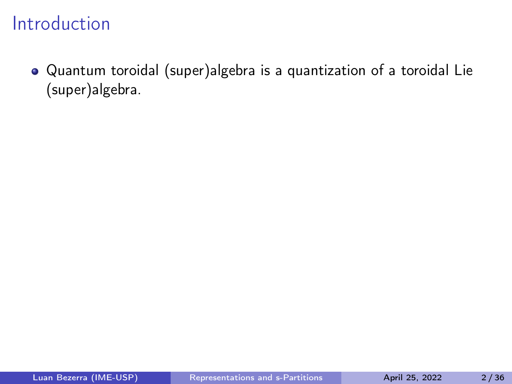Quantum toroidal (super)algebra is a quantization of a toroidal Lie (super)algebra.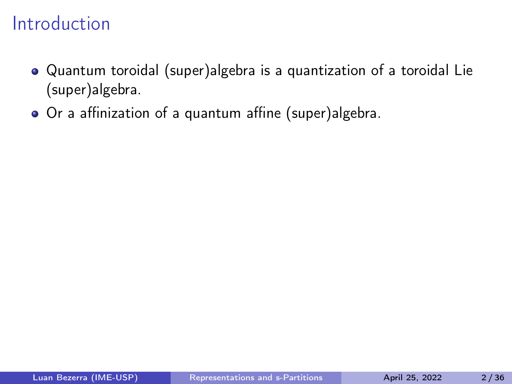- Quantum toroidal (super)algebra is a quantization of a toroidal Lie (super)algebra.
- Or a affinization of a quantum affine (super)algebra.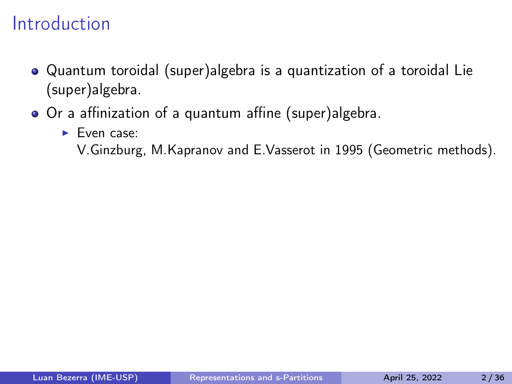- Quantum toroidal (super)algebra is a quantization of a toroidal Lie (super)algebra.
- Or a affinization of a quantum affine (super)algebra.
	- ▶ Even case:

V.Ginzburg, M.Kapranov and E.Vasserot in 1995 (Geometric methods).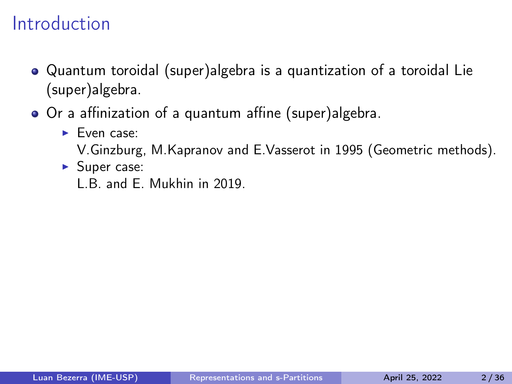- Quantum toroidal (super)algebra is a quantization of a toroidal Lie (super)algebra.
- Or a affinization of a quantum affine (super)algebra.
	- ▶ Even case:
		- V.Ginzburg, M.Kapranov and E.Vasserot in 1995 (Geometric methods).
	- ▶ Super case: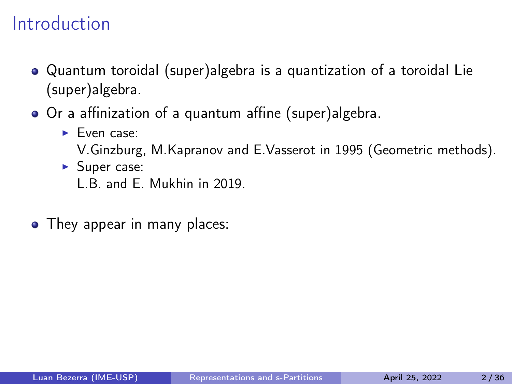- Quantum toroidal (super)algebra is a quantization of a toroidal Lie (super)algebra.
- Or a affinization of a quantum affine (super)algebra.
	- ▶ Even case:
		- V.Ginzburg, M.Kapranov and E.Vasserot in 1995 (Geometric methods).
	- ▶ Super case:

L.B. and E. Mukhin in 2019.

• They appear in many places: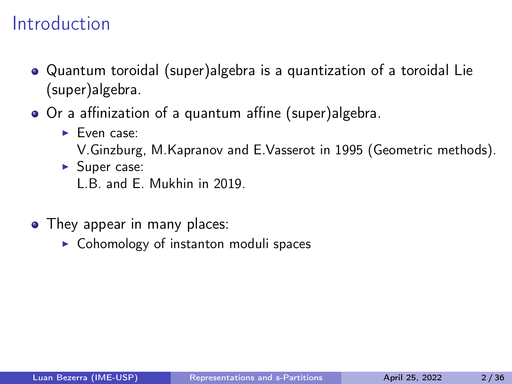- Quantum toroidal (super)algebra is a quantization of a toroidal Lie (super)algebra.
- Or a affinization of a quantum affine (super)algebra.
	- ▶ Even case:
		- V.Ginzburg, M.Kapranov and E.Vasserot in 1995 (Geometric methods).
	- ▶ Super case:

- They appear in many places:
	- $\triangleright$  Cohomology of instanton moduli spaces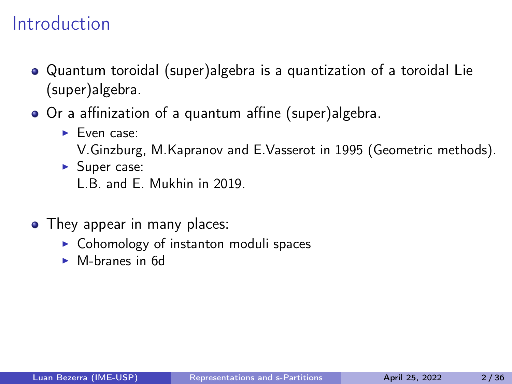- Quantum toroidal (super)algebra is a quantization of a toroidal Lie (super)algebra.
- Or a affinization of a quantum affine (super)algebra.
	- ▶ Even case:
		- V.Ginzburg, M.Kapranov and E.Vasserot in 1995 (Geometric methods).
	- ▶ Super case:

- They appear in many places:
	- ▶ Cohomology of instanton moduli spaces
	- ▶ M-branes in 6d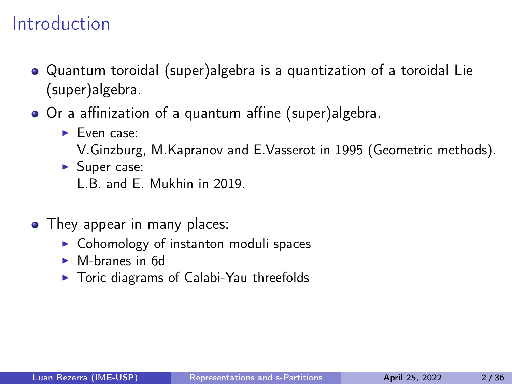- Quantum toroidal (super)algebra is a quantization of a toroidal Lie (super)algebra.
- Or a affinization of a quantum affine (super)algebra.
	- ▶ Even case:
		- V.Ginzburg, M.Kapranov and E.Vasserot in 1995 (Geometric methods).
	- ▶ Super case:

- They appear in many places:
	- ▶ Cohomology of instanton moduli spaces
	- ▶ M-branes in 6d
	- ▶ Toric diagrams of Calabi-Yau threefolds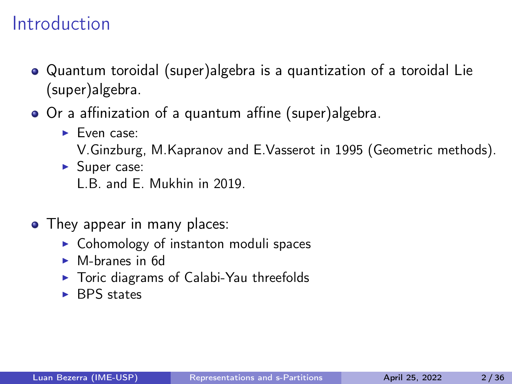- Quantum toroidal (super)algebra is a quantization of a toroidal Lie (super)algebra.
- Or a affinization of a quantum affine (super)algebra.
	- ▶ Even case:
		- V.Ginzburg, M.Kapranov and E.Vasserot in 1995 (Geometric methods).
	- ▶ Super case:

- They appear in many places:
	- ▶ Cohomology of instanton moduli spaces
	- ▶ M-branes in 6d
	- ▶ Toric diagrams of Calabi-Yau threefolds
	- ▶ BPS states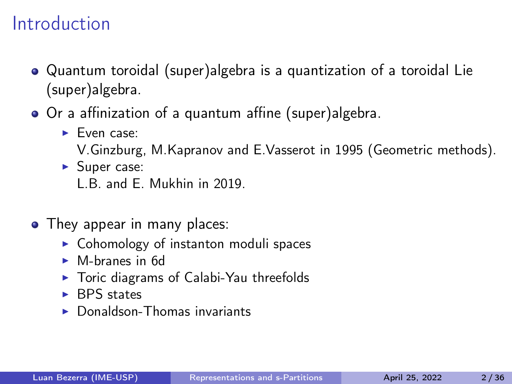- Quantum toroidal (super)algebra is a quantization of a toroidal Lie (super)algebra.
- Or a affinization of a quantum affine (super)algebra.
	- ▶ Even case:
		- V.Ginzburg, M.Kapranov and E.Vasserot in 1995 (Geometric methods).
	- ▶ Super case:

- They appear in many places:
	- ▶ Cohomology of instanton moduli spaces
	- ▶ M-branes in 6d
	- ▶ Toric diagrams of Calabi-Yau threefolds
	- ▶ BPS states
	- $\triangleright$  Donaldson-Thomas invariants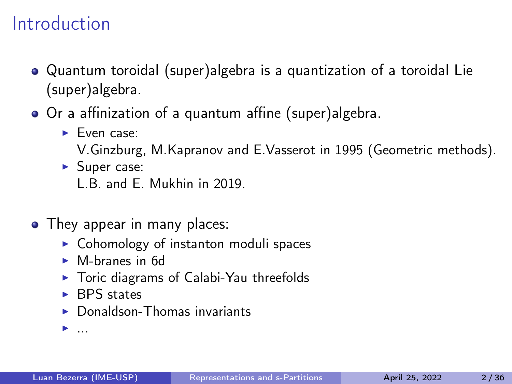- Quantum toroidal (super)algebra is a quantization of a toroidal Lie (super)algebra.
- Or a affinization of a quantum affine (super)algebra.
	- ▶ Even case:
		- V.Ginzburg, M.Kapranov and E.Vasserot in 1995 (Geometric methods).
	- ▶ Super case:

L.B. and E. Mukhin in 2019.

- They appear in many places:
	- ▶ Cohomology of instanton moduli spaces
	- ▶ M-branes in 6d
	- ▶ Toric diagrams of Calabi-Yau threefolds
	- ▶ BPS states
	- $\triangleright$  Donaldson-Thomas invariants

▶ ...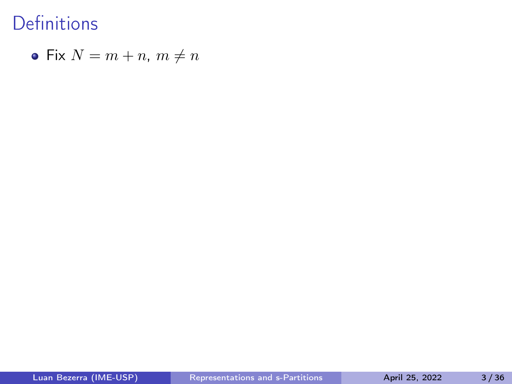• Fix 
$$
N = m + n
$$
,  $m \neq n$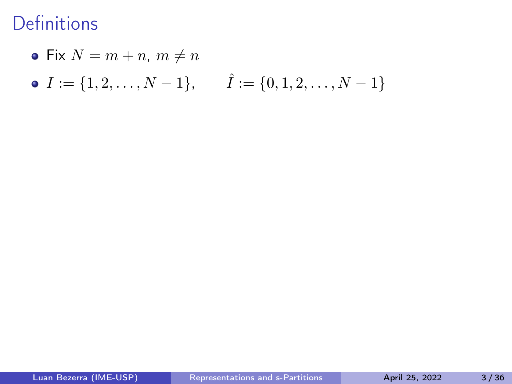• Fix 
$$
N = m + n
$$
,  $m \neq n$ 

• 
$$
I := \{1, 2, ..., N - 1\}, \quad \hat{I} := \{0, 1, 2, ..., N - 1\}
$$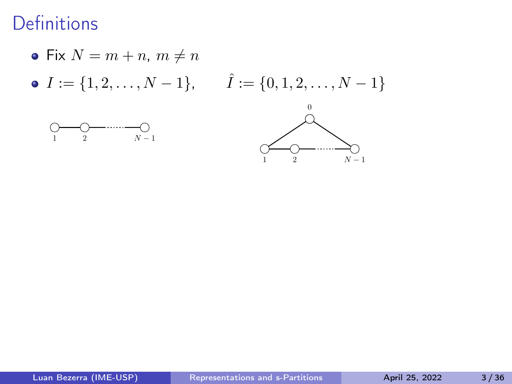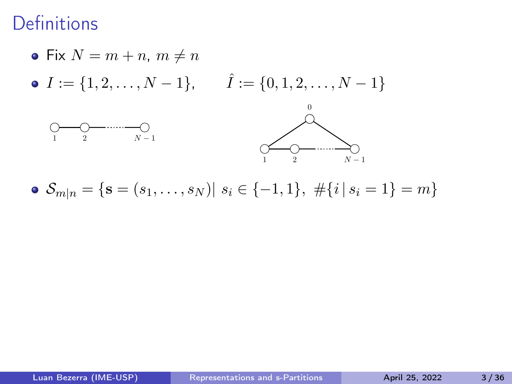

• 
$$
S_{m|n} = \{ \mathbf{s} = (s_1, \dots, s_N) | s_i \in \{-1, 1\}, \# \{i | s_i = 1\} = m \}
$$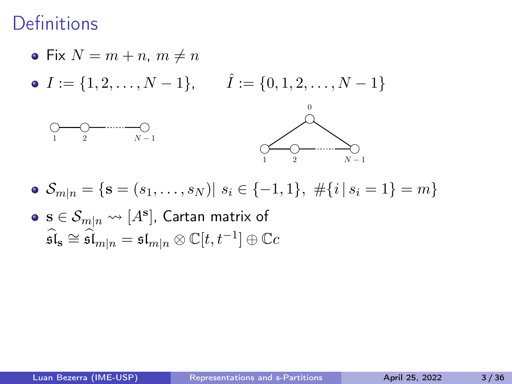

- $\bullet$   $\mathcal{S}_{m|n} = \{ \mathbf{s} = (s_1, \ldots, s_N) | s_i \in \{-1, 1\}, \# \{i | s_i = 1\} = m \}$
- $\mathbf{s} \in \mathcal{S}_{m|n} \leadsto [A^{\mathbf{s}}]$ , Cartan matrix of  $\widehat{\mathfrak{sl}}_{\bf s}\cong \widehat{\mathfrak{sl}}_{m|n}={\mathfrak{sl}}_{m|n}\otimes \mathbb{C}[t,t^{-1}]\oplus \mathbb{C}c$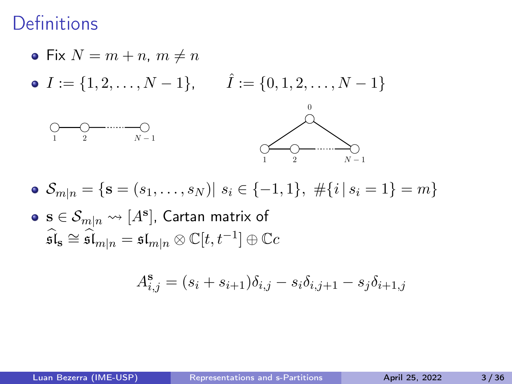

- $\bullet$   $\mathcal{S}_{m|n} = \{ \mathbf{s} = (s_1, \ldots, s_N) | s_i \in \{-1, 1\}, \# \{i | s_i = 1\} = m \}$
- $\mathbf{s} \in \mathcal{S}_{m|n} \leadsto [A^{\mathbf{s}}]$ , Cartan matrix of  $\widehat{\mathfrak{sl}}_{\bf s}\cong \widehat{\mathfrak{sl}}_{m|n}={\mathfrak{sl}}_{m|n}\otimes \mathbb{C}[t,t^{-1}]\oplus \mathbb{C}c$

$$
A_{i,j}^{\mathbf{s}} = (s_i + s_{i+1})\delta_{i,j} - s_i \delta_{i,j+1} - s_j \delta_{i+1,j}
$$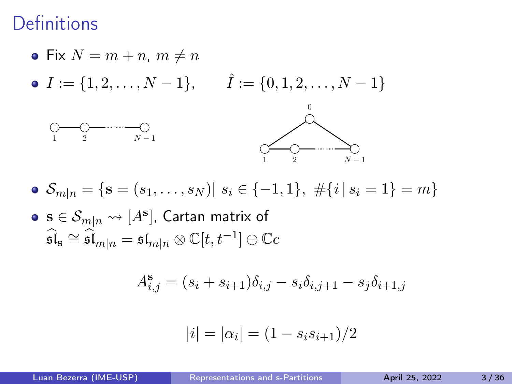

- $\bullet$   $\mathcal{S}_{m|n} = \{ \mathbf{s} = (s_1, \ldots, s_N) | s_i \in \{-1, 1\}, \# \{i | s_i = 1\} = m \}$
- $\mathbf{s} \in \mathcal{S}_{m|n} \leadsto [A^{\mathbf{s}}]$ , Cartan matrix of  $\widehat{\mathfrak{sl}}_{\bf s}\cong \widehat{\mathfrak{sl}}_{m|n}={\mathfrak{sl}}_{m|n}\otimes \mathbb{C}[t,t^{-1}]\oplus \mathbb{C}c$

$$
A_{i,j}^s = (s_i + s_{i+1})\delta_{i,j} - s_i \delta_{i,j+1} - s_j \delta_{i+1,j}
$$

$$
|i| = |\alpha_i| = (1 - s_i s_{i+1})/2
$$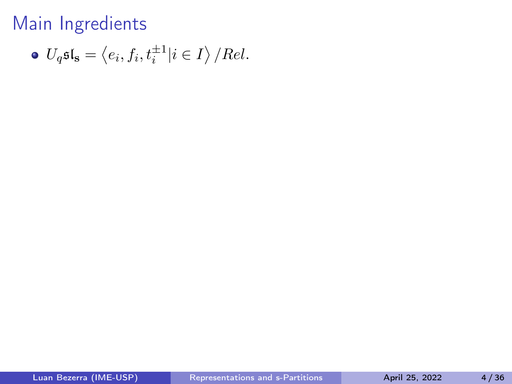• 
$$
U_q \mathfrak{sl}_s = \langle e_i, f_i, t_i^{\pm 1} | i \in I \rangle / Rel.
$$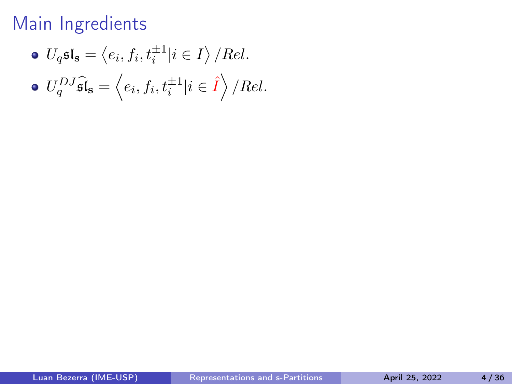• 
$$
U_q \mathfrak{sl}_s = \langle e_i, f_i, t_i^{\pm 1} | i \in I \rangle / Rel.
$$

$$
\bullet \ U_q^{DJ}\widehat{\mathfrak{sl}}_{\bf s}=\left\langle e_i,f_i,t_i^{\pm 1}|i\in \widehat{I}\right\rangle/Rel.
$$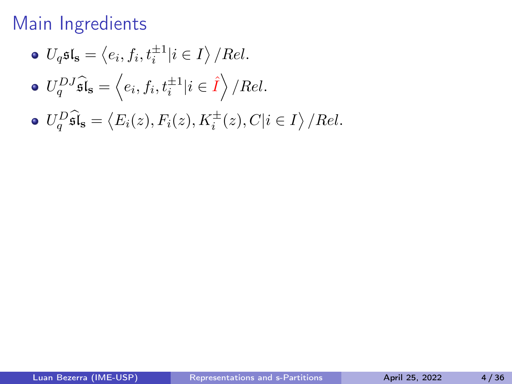\n- $$
U_q \mathfrak{sl}_s = \langle e_i, f_i, t_i^{\pm 1} | i \in I \rangle / Rel.
$$
\n- $U_q^{DJ} \widehat{\mathfrak{sl}}_s = \langle e_i, f_i, t_i^{\pm 1} | i \in \widehat{I} \rangle / Rel.$
\n

• 
$$
U_q^D \widehat{\mathfrak{sl}}_s = \langle E_i(z), F_i(z), K_i^{\pm}(z), C | i \in I \rangle / Rel.
$$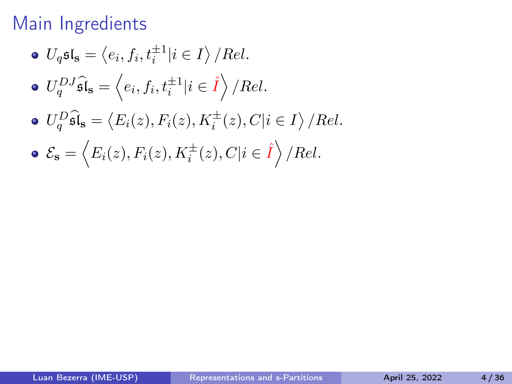\n- \n
$$
U_q \mathfrak{sl}_s = \langle e_i, f_i, t_i^{\pm 1} | i \in I \rangle / Rel.
$$
\n
\n- \n $U_q^{DJ} \mathfrak{sl}_s = \langle e_i, f_i, t_i^{\pm 1} | i \in \hat{I} \rangle / Rel.$ \n
\n- \n $U_q^{D} \mathfrak{sl}_s = \langle E_i(z), F_i(z), K_i^{\pm}(z), C | i \in I \rangle / Rel.$ \n
\n- \n $\mathcal{E}_s = \langle E_i(z), F_i(z), K_i^{\pm}(z), C | i \in \hat{I} \rangle / Rel.$ \n
\n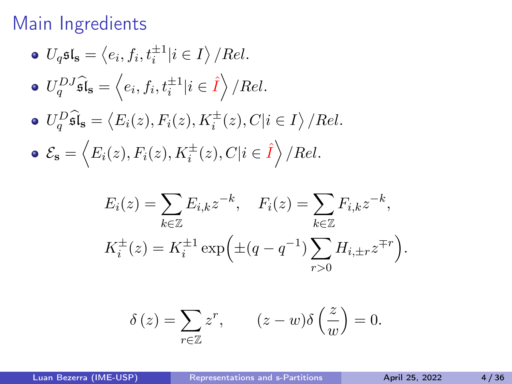\n- \n
$$
U_q \mathfrak{sl}_s = \langle e_i, f_i, t_i^{\pm 1} | i \in I \rangle / Rel.
$$
\n
\n- \n $U_q^{DJ} \mathfrak{sl}_s = \langle e_i, f_i, t_i^{\pm 1} | i \in \hat{I} \rangle / Rel.$ \n
\n- \n $U_q^{D} \mathfrak{sl}_s = \langle E_i(z), F_i(z), K_i^{\pm}(z), C | i \in I \rangle / Rel.$ \n
\n- \n $\mathcal{E}_s = \langle E_i(z), F_i(z), K_i^{\pm}(z), C | i \in \hat{I} \rangle / Rel.$ \n
\n

$$
E_i(z) = \sum_{k \in \mathbb{Z}} E_{i,k} z^{-k}, \quad F_i(z) = \sum_{k \in \mathbb{Z}} F_{i,k} z^{-k},
$$
  

$$
K_i^{\pm}(z) = K_i^{\pm 1} \exp\left(\pm (q - q^{-1}) \sum_{r > 0} H_{i, \pm r} z^{\mp r}\right).
$$

$$
\delta(z) = \sum_{r \in \mathbb{Z}} z^r, \qquad (z - w)\delta\left(\frac{z}{w}\right) = 0.
$$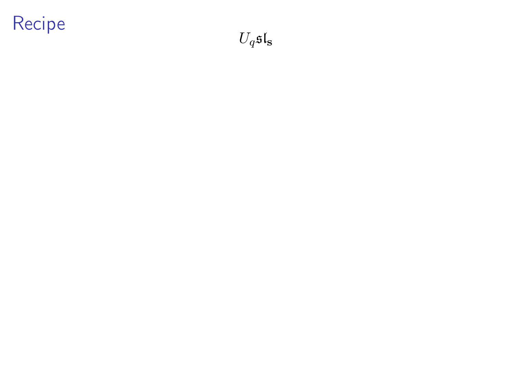$U_q\mathfrak{sl}_\mathbf{s}$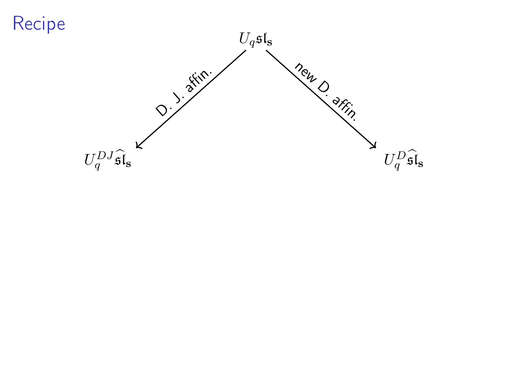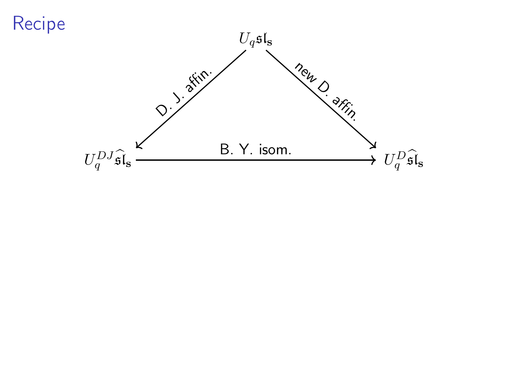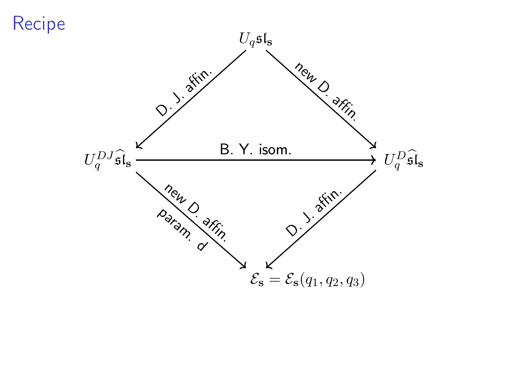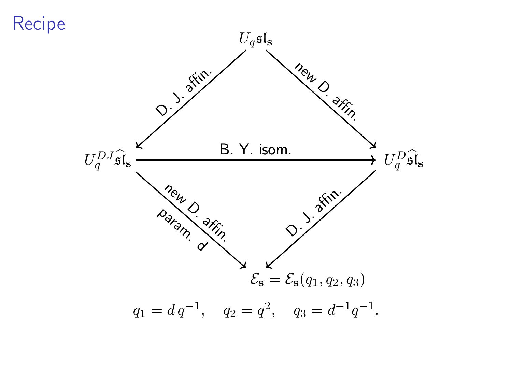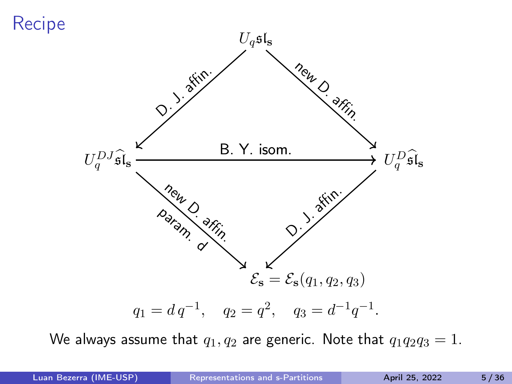

We always assume that  $q_1, q_2$  are generic. Note that  $q_1q_2q_3 = 1$ .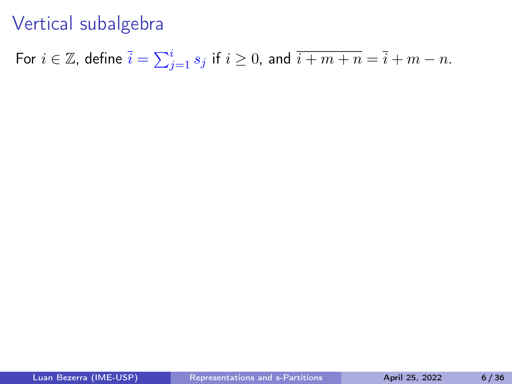For  $i\in\mathbb{Z}$ , define  $\bar{i}=\sum_{j=1}^i s_j$  if  $i\geq 0$ , and  $\overline{i+m+n}=\overline{i}+m-n$ .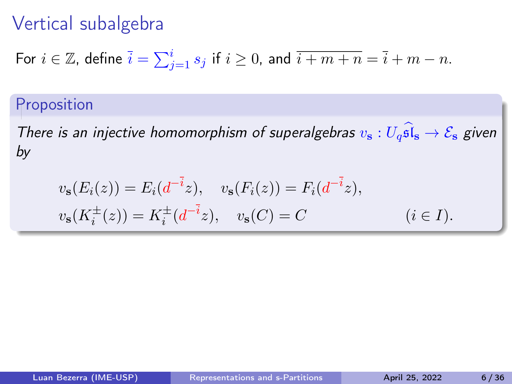For 
$$
i \in \mathbb{Z}
$$
, define  $\overline{i} = \sum_{j=1}^{i} s_j$  if  $i \ge 0$ , and  $\overline{i+m+n} = \overline{i} + m - n$ .

#### Proposition

There is an injective homomorphism of superalgebras  $v_s: U_q\widehat{\mathfrak{sl}}_s \to \mathcal{E}_s$  given by

$$
v_{s}(E_{i}(z)) = E_{i}(d^{-i}z), \quad v_{s}(F_{i}(z)) = F_{i}(d^{-i}z),
$$
  

$$
v_{s}(K_{i}^{\pm}(z)) = K_{i}^{\pm}(d^{-i}z), \quad v_{s}(C) = C \qquad (i \in I).
$$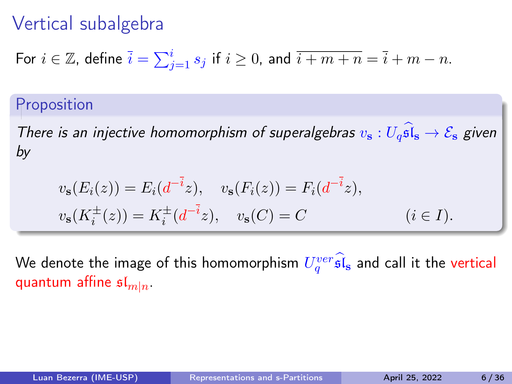For 
$$
i \in \mathbb{Z}
$$
, define  $\overline{i} = \sum_{j=1}^{i} s_j$  if  $i \ge 0$ , and  $\overline{i+m+n} = \overline{i} + m - n$ .

#### Proposition

There is an injective homomorphism of superalgebras  $v_s: U_a\widehat{\mathfrak{sl}}_s \to \mathcal{E}_s$  given by

$$
v_{s}(E_{i}(z)) = E_{i}(d^{-i}z), \quad v_{s}(F_{i}(z)) = F_{i}(d^{-i}z),
$$
  

$$
v_{s}(K_{i}^{\pm}(z)) = K_{i}^{\pm}(d^{-i}z), \quad v_{s}(C) = C \qquad (i \in I).
$$

We denote the image of this homomorphism  $U_q^{ver} \widehat{\mathfrak{sl}}_{\bf s}$  and call it the vertical quantum affine  $\mathfrak{sl}_{m|n}$ .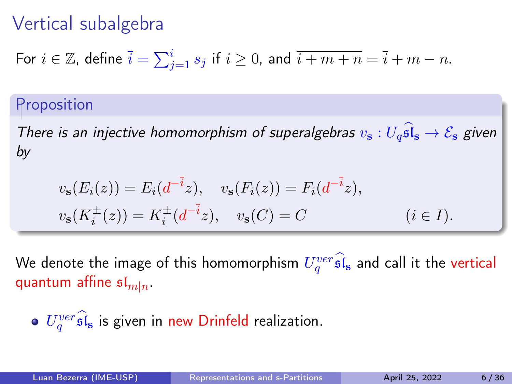For 
$$
i \in \mathbb{Z}
$$
, define  $\overline{i} = \sum_{j=1}^{i} s_j$  if  $i \ge 0$ , and  $\overline{i+m+n} = \overline{i} + m - n$ .

#### Proposition

There is an injective homomorphism of superalgebras  $v_s: U_a\widehat{\mathfrak{sl}}_s \to \mathcal{E}_s$  given by

$$
v_{s}(E_{i}(z)) = E_{i}(d^{-i}z), \quad v_{s}(F_{i}(z)) = F_{i}(d^{-i}z),
$$
  

$$
v_{s}(K_{i}^{\pm}(z)) = K_{i}^{\pm}(d^{-i}z), \quad v_{s}(C) = C \qquad (i \in I).
$$

We denote the image of this homomorphism  $U_q^{ver} \widehat{\mathfrak{sl}}_{\bf s}$  and call it the vertical quantum affine  $\mathfrak{sl}_{m|n}$ .

• 
$$
U_q^{ver} \widehat{\mathfrak{sl}}_{\mathbf{s}}
$$
 is given in new Drinfeld realization.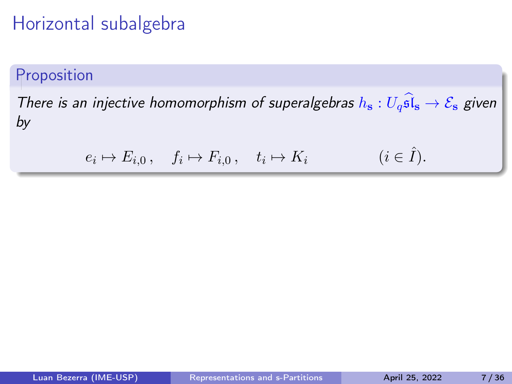## Horizontal subalgebra

#### Proposition

There is an injective homomorphism of superalgebras  $h_s: U_g \widehat{\mathfrak{sl}}_s \to \mathcal{E}_s$  given by

$$
e_i \mapsto E_{i,0} \,, \quad f_i \mapsto F_{i,0} \,, \quad t_i \mapsto K_i \qquad (i \in \hat{I}).
$$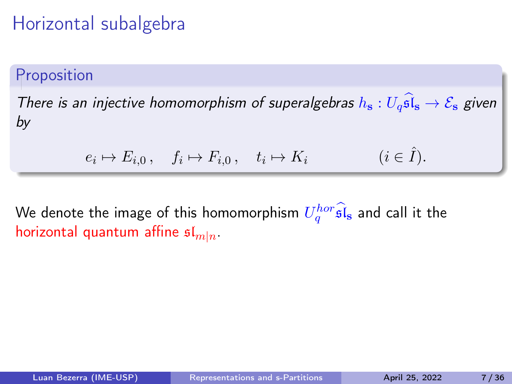# Horizontal subalgebra

#### Proposition

There is an injective homomorphism of superalgebras  $h_s: U_q\widehat{\mathfrak{sl}}_s \to \mathcal{E}_s$  given by

$$
e_i \mapsto E_{i,0} \,, \quad f_i \mapsto F_{i,0} \,, \quad t_i \mapsto K_i \qquad (i \in \hat{I}).
$$

We denote the image of this homomorphism  $U_q^{hor} \widehat{\mathfrak{sl}}_{\bf s}$  and call it the horizontal quantum affine  $\mathfrak{sl}_{m|n}$ .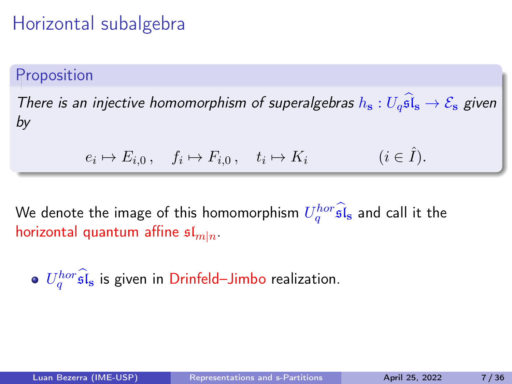# Horizontal subalgebra

#### Proposition

There is an injective homomorphism of superalgebras  $h_s: U_q\widehat{\mathfrak{sl}}_s \to \mathcal{E}_s$  given by

$$
e_i \mapsto E_{i,0} \,, \quad f_i \mapsto F_{i,0} \,, \quad t_i \mapsto K_i \qquad (i \in \hat{I}).
$$

We denote the image of this homomorphism  $U_q^{hor} \widehat{\mathfrak{sl}}_{\bf s}$  and call it the horizontal quantum affine  $\mathfrak{sl}_{m|n}$ .

 $U_q^{hor}$ s $\hat{\bf l}_{{\bf s}}$  is given in Drinfeld–Jimbo realization.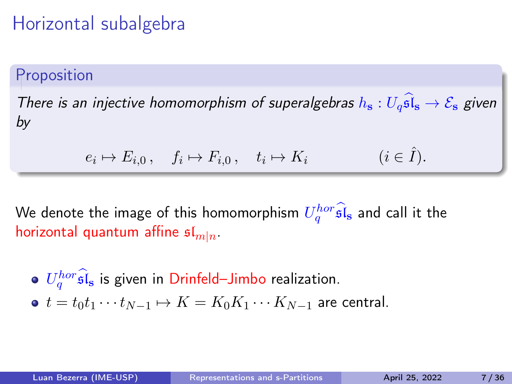## Horizontal subalgebra

#### Proposition

There is an injective homomorphism of superalgebras  $h_s: U_q\widehat{\mathfrak{sl}}_s \to \mathcal{E}_s$  given by

$$
e_i \mapsto E_{i,0} \,, \quad f_i \mapsto F_{i,0} \,, \quad t_i \mapsto K_i \qquad (i \in \hat{I}).
$$

We denote the image of this homomorphism  $U_q^{hor} \widehat{\mathfrak{sl}}_{\bf s}$  and call it the horizontal quantum affine  $\mathfrak{sl}_{m|n}$ .

\n- $$
U_q^{hor} \widehat{\mathfrak{sl}}_s
$$
 is given in Drinfeld–Jimbo realization.
\n- $t = t_0 t_1 \cdots t_{N-1} \mapsto K = K_0 K_1 \cdots K_{N-1}$  are central.
\n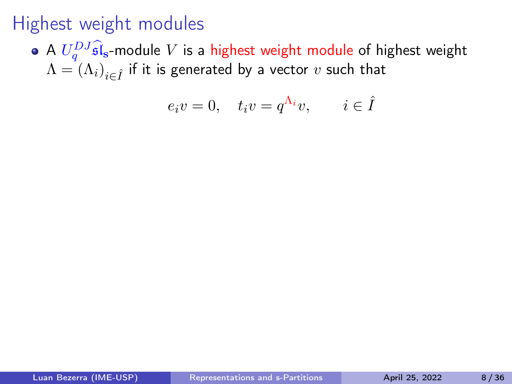A  $U_q^{DJ}$ s $\mathfrak{l}_s$ -module  $V$  is a highest weight module of highest weight  $\Lambda=\left(\Lambda_{i}\right)_{i\in\hat{I}}$  if it is generated by a vector  $v$  such that

$$
e_i v = 0, \quad t_i v = q^{\Lambda_i} v, \qquad i \in \hat{I}
$$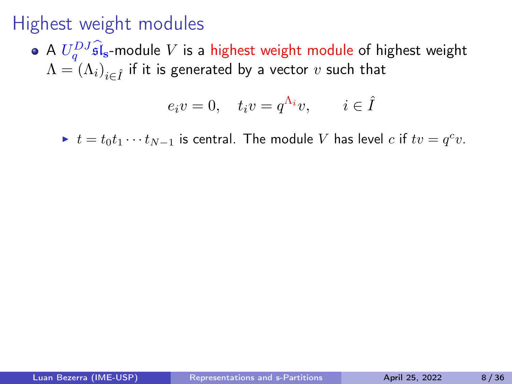A  $U_q^{DJ}$ s $\mathfrak{l}_s$ -module  $V$  is a highest weight module of highest weight  $\Lambda=\left(\Lambda_{i}\right)_{i\in\hat{I}}$  if it is generated by a vector  $v$  such that

$$
e_i v = 0, \quad t_i v = q^{\Lambda_i} v, \qquad i \in \hat{I}
$$

▶  $t = t_0 t_1 \cdots t_{N-1}$  is central. The module V has level c if  $tv = q^c v$ .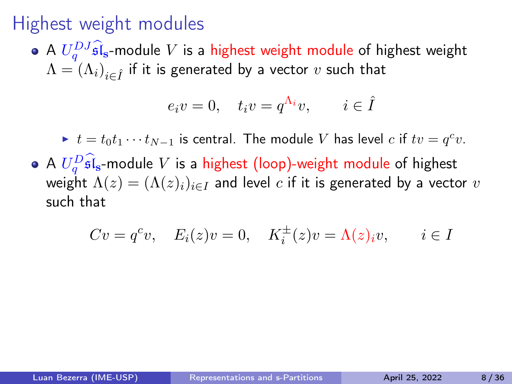A  $U_q^{DJ}$ s $\mathfrak{l}_s$ -module  $V$  is a highest weight module of highest weight  $\Lambda=\left(\Lambda_{i}\right)_{i\in\hat{I}}$  if it is generated by a vector  $v$  such that

$$
e_i v = 0, \quad t_i v = q^{\Lambda_i} v, \qquad i \in \hat{I}
$$

▶  $t = t_0 t_1 \cdots t_{N-1}$  is central. The module V has level c if  $tv = q^c v$ . A  $U_q^D \hat{\mathfrak{sl}}_s$ -module V is a highest (loop)-weight module of highest weight  $\Lambda(z) = (\Lambda(z)_i)_{i \in I}$  and level c if it is generated by a vector v such that

$$
Cv = q^c v, \quad E_i(z)v = 0, \quad K_i^{\pm}(z)v = \Lambda(z)_i v, \qquad i \in I
$$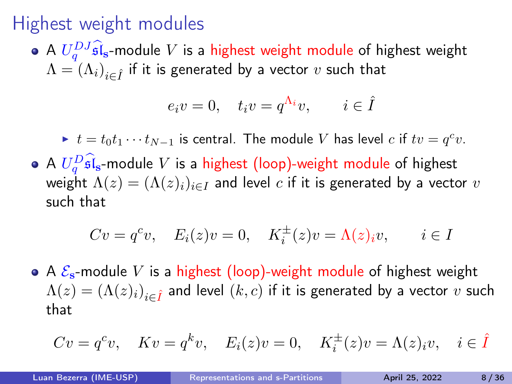A  $U_q^{DJ}$ s $\mathfrak{l}_s$ -module  $V$  is a highest weight module of highest weight  $\Lambda=\left(\Lambda_{i}\right)_{i\in\hat{I}}$  if it is generated by a vector  $v$  such that

$$
e_i v = 0, \quad t_i v = q^{\Lambda_i} v, \qquad i \in \hat{I}
$$

▶  $t = t_0 t_1 \cdots t_{N-1}$  is central. The module V has level c if  $tv = q^c v$ . A  $U_q^D \hat{\mathfrak{sl}}_s$ -module V is a highest (loop)-weight module of highest weight  $\Lambda(z) = (\Lambda(z)_i)_{i \in I}$  and level c if it is generated by a vector v such that

$$
Cv = q^c v, \quad E_i(z)v = 0, \quad K_i^{\pm}(z)v = \Lambda(z)_i v, \qquad i \in I
$$

• A  $\mathcal{E}_s$ -module V is a highest (loop)-weight module of highest weight  $\Lambda(z) = \left(\Lambda(z)_i\right)_{i \in \hat{I}}$  and level  $(k,c)$  if it is generated by a vector  $v$  such that

$$
Cv = q^c v
$$
,  $Kv = q^k v$ ,  $E_i(z)v = 0$ ,  $K_i^{\pm}(z)v = \Lambda(z)_i v$ ,  $i \in \hat{I}$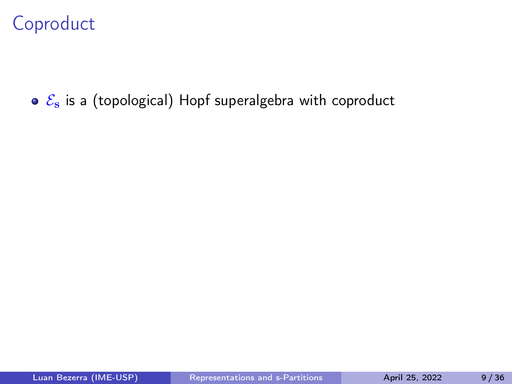# Coproduct

 $\circ$   $\mathcal{E}_s$  is a (topological) Hopf superalgebra with coproduct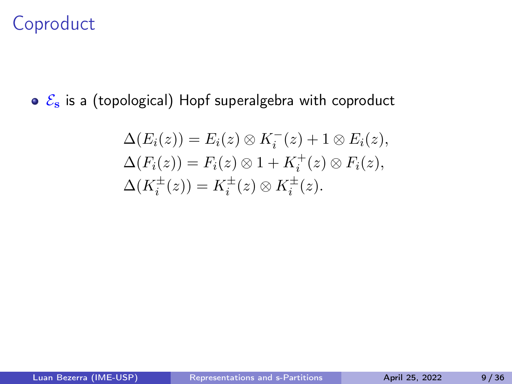# Coproduct

 $\circ$   $\mathcal{E}_s$  is a (topological) Hopf superalgebra with coproduct

$$
\Delta(E_i(z)) = E_i(z) \otimes K_i^-(z) + 1 \otimes E_i(z),
$$
  
\n
$$
\Delta(F_i(z)) = F_i(z) \otimes 1 + K_i^+(z) \otimes F_i(z),
$$
  
\n
$$
\Delta(K_i^{\pm}(z)) = K_i^{\pm}(z) \otimes K_i^{\pm}(z).
$$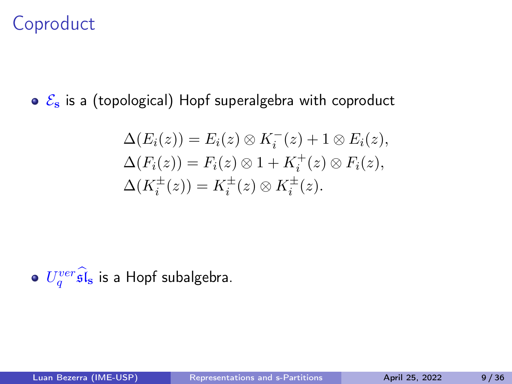# Coproduct

 $\circ$   $\mathcal{E}_s$  is a (topological) Hopf superalgebra with coproduct

$$
\Delta(E_i(z)) = E_i(z) \otimes K_i^-(z) + 1 \otimes E_i(z),
$$
  
\n
$$
\Delta(F_i(z)) = F_i(z) \otimes 1 + K_i^+(z) \otimes F_i(z),
$$
  
\n
$$
\Delta(K_i^{\pm}(z)) = K_i^{\pm}(z) \otimes K_i^{\pm}(z).
$$

 $U_q^{ver} \widehat{\mathfrak{sl}}_{\bf s}$  is a Hopf subalgebra.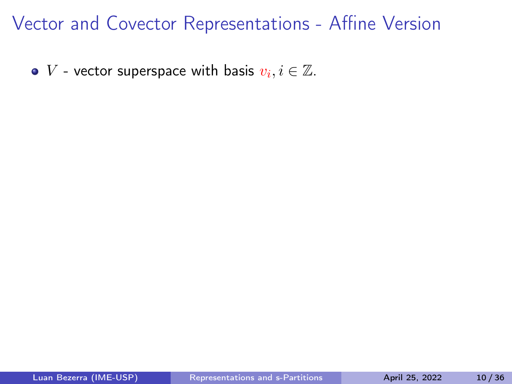$V$  - vector superspace with basis  $v_i, i \in \mathbb{Z}$ .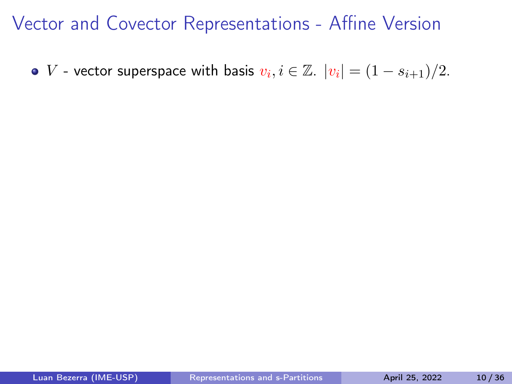V - vector superspace with basis  $v_i, i \in \mathbb{Z}$ .  $|v_i| = (1 - s_{i+1})/2$ .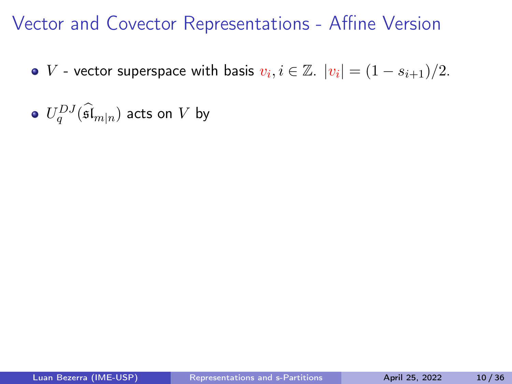- V vector superspace with basis  $v_i, i \in \mathbb{Z}$ .  $|v_i| = (1 s_{i+1})/2$ .
- $U_q^{DJ}(\widehat{\mathfrak{sl}}_{m|n})$  acts on  $V$  by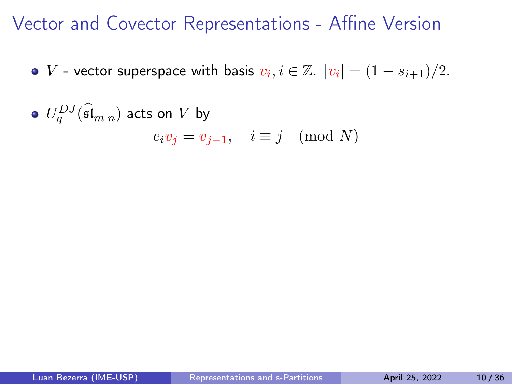- V vector superspace with basis  $v_i, i \in \mathbb{Z}$ .  $|v_i| = (1 s_{i+1})/2$ .
- $U_q^{DJ}(\widehat{\mathfrak{sl}}_{m|n})$  acts on  $V$  by  $e_i v_j = v_{j-1}, \quad i \equiv j \pmod{N}$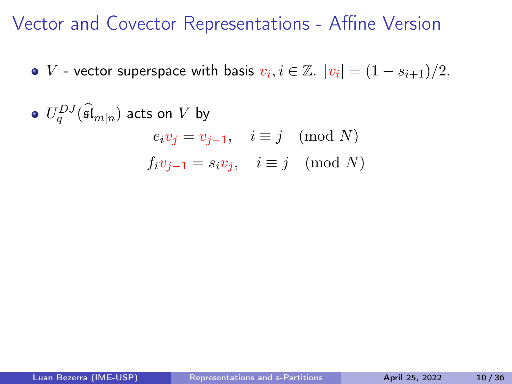- V vector superspace with basis  $v_i, i \in \mathbb{Z}$ .  $|v_i| = (1 s_{i+1})/2$ .
- $U_q^{DJ}(\widehat{\mathfrak{sl}}_{m|n})$  acts on  $V$  by  $e_i v_j = v_{j-1}, \quad i \equiv j \pmod{N}$  $f_i v_{i-1} = s_i v_i$ ,  $i \equiv j \pmod{N}$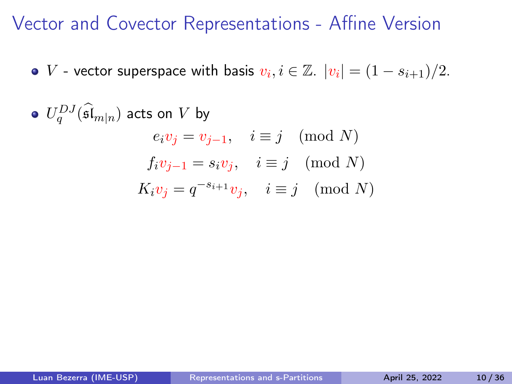V - vector superspace with basis  $v_i, i \in \mathbb{Z}$ .  $|v_i| = (1 - s_{i+1})/2$ .

 $U_q^{DJ}(\widehat{\mathfrak{sl}}_{m|n})$  acts on  $V$  by  $e_i v_j = v_{j-1}, \quad i \equiv j \pmod{N}$  $f_i v_{i-1} = s_i v_i$ ,  $i \equiv j \pmod{N}$  $K_i v_j = q^{-s_{i+1}} v_j, \quad i \equiv j \pmod{N}$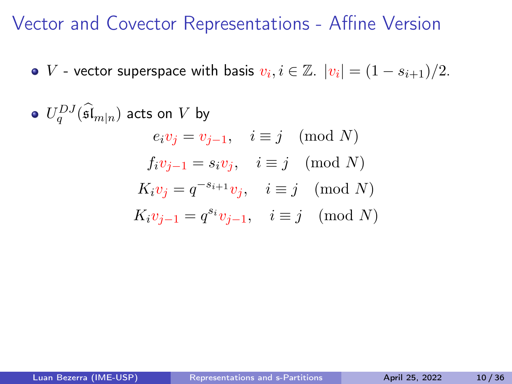V - vector superspace with basis  $v_i, i \in \mathbb{Z}$ .  $|v_i| = (1 - s_{i+1})/2$ .

 $U_q^{DJ}(\widehat{\mathfrak{sl}}_{m|n})$  acts on  $V$  by  $e_i v_j = v_{j-1}, \quad i \equiv j \pmod{N}$  $f_i v_{i-1} = s_i v_i$ ,  $i \equiv j \pmod{N}$  $K_i v_j = q^{-s_{i+1}} v_j, \quad i \equiv j \pmod{N}$  $K_i v_{j-1} = q^{s_i} v_{j-1}, \quad i \equiv j \pmod{N}$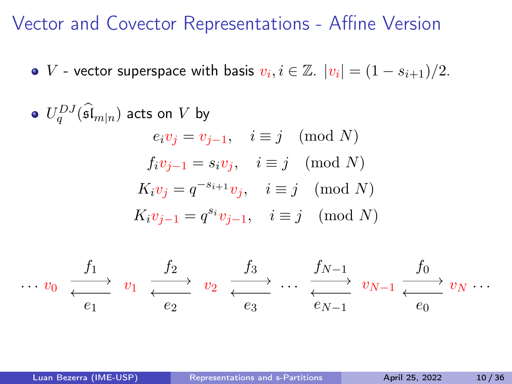V - vector superspace with basis  $v_i, i \in \mathbb{Z}$ .  $|v_i| = (1 - s_{i+1})/2$ .

\n- $$
U_q^{DJ}(\widehat{\mathfrak{sl}}_{m|n})
$$
 acts on  $V$  by\n  $e_i v_j = v_{j-1}, \quad i \equiv j \pmod{N}$ \n $f_i v_{j-1} = s_i v_j, \quad i \equiv j \pmod{N}$ \n $K_i v_j = q^{-s_{i+1}} v_j, \quad i \equiv j \pmod{N}$ \n $K_i v_{j-1} = q^{s_i} v_{j-1}, \quad i \equiv j \pmod{N}$ \n
\n

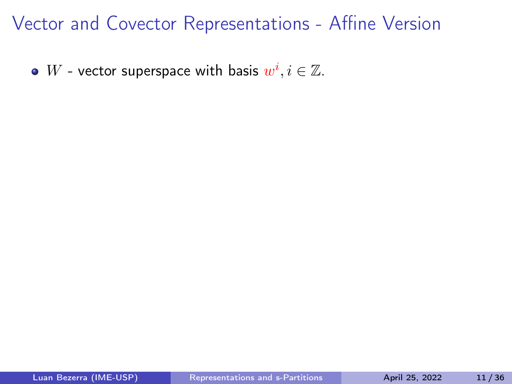$W$  - vector superspace with basis  $w^i, i \in \mathbb{Z}.$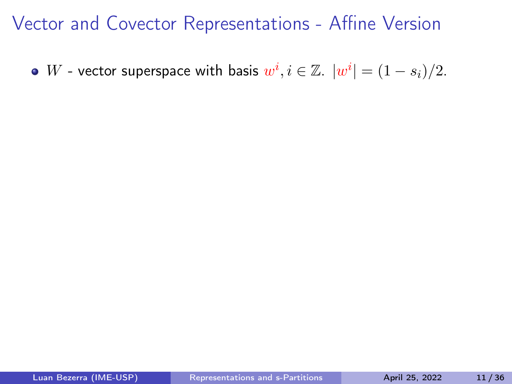$W$  - vector superspace with basis  $w^i, i \in \mathbb{Z}$ .  $|w^i| = (1-s_i)/2$ .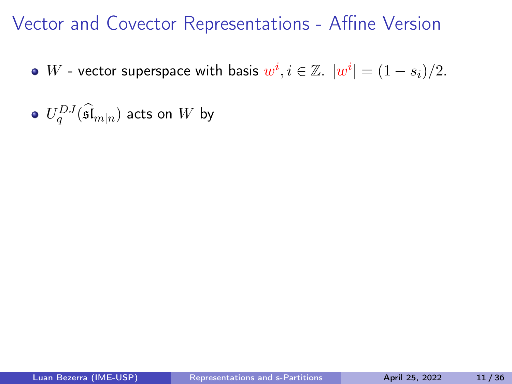- $W$  vector superspace with basis  $w^i, i \in \mathbb{Z}$ .  $|w^i| = (1-s_i)/2$ .
- $U_q^{DJ}(\widehat{\mathfrak{sl}}_{m|n})$  acts on  $W$  by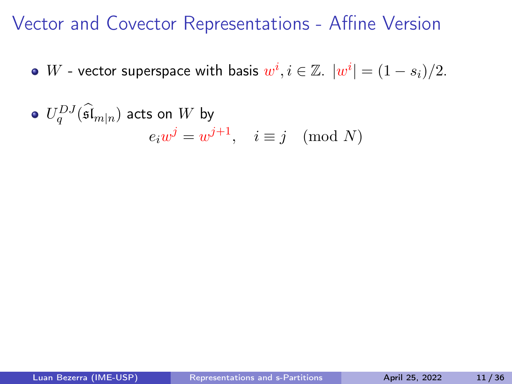- $W$  vector superspace with basis  $w^i, i \in \mathbb{Z}$ .  $|w^i| = (1-s_i)/2$ .
- $U_q^{DJ}(\widehat{\mathfrak{sl}}_{m|n})$  acts on  $W$  by  $e_i w^j = w^{j+1}, \quad i \equiv j \pmod{N}$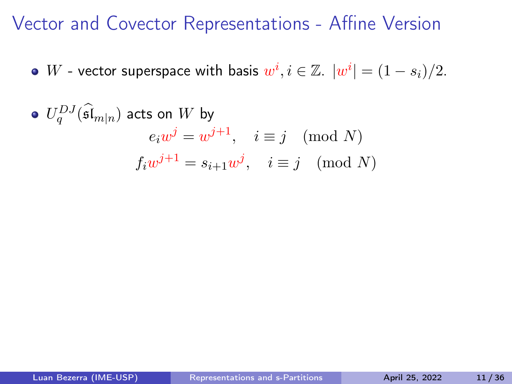- $W$  vector superspace with basis  $w^i, i \in \mathbb{Z}$ .  $|w^i| = (1-s_i)/2$ .
- $U_q^{DJ}(\widehat{\mathfrak{sl}}_{m|n})$  acts on  $W$  by  $e_i w^j = w^{j+1}, \quad i \equiv j \pmod{N}$  $f_i w^{j+1} = s_{i+1} w^j$ ,  $i \equiv j \pmod{N}$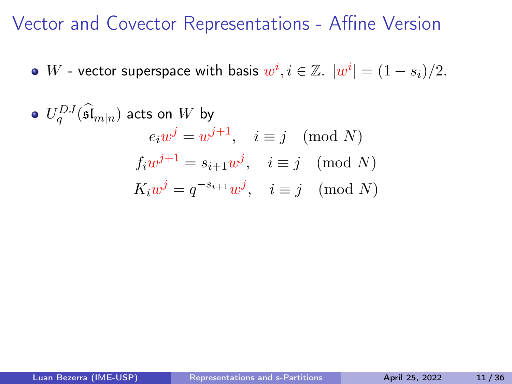- $W$  vector superspace with basis  $w^i, i \in \mathbb{Z}$ .  $|w^i| = (1-s_i)/2$ .
- $U_q^{DJ}(\widehat{\mathfrak{sl}}_{m|n})$  acts on  $W$  by  $e_i w^j = w^{j+1}, \quad i \equiv j \pmod{N}$  $f_i w^{j+1} = s_{i+1} w^j$ ,  $i \equiv j \pmod{N}$  $K_iw^j = q^{-s_{i+1}}w^j$ ,  $i \equiv j \pmod{N}$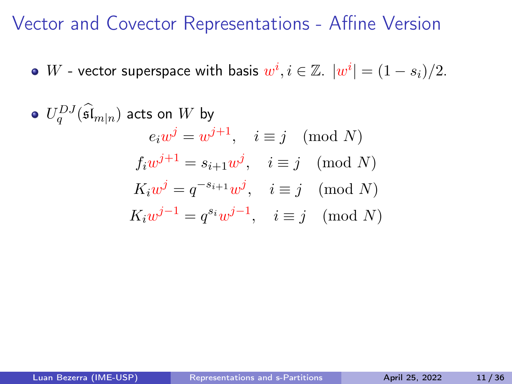$W$  - vector superspace with basis  $w^i, i \in \mathbb{Z}$ .  $|w^i| = (1-s_i)/2$ .

 $U_q^{DJ}(\widehat{\mathfrak{sl}}_{m|n})$  acts on  $W$  by  $e_i w^j = w^{j+1}, \quad i \equiv j \pmod{N}$  $f_i w^{j+1} = s_{i+1} w^j$ ,  $i \equiv j \pmod{N}$  $K_iw^j = q^{-s_{i+1}}w^j$ ,  $i \equiv j \pmod{N}$  $K_i w^{j-1} = q^{s_i} w^{j-1}, \quad i \equiv j \pmod{N}$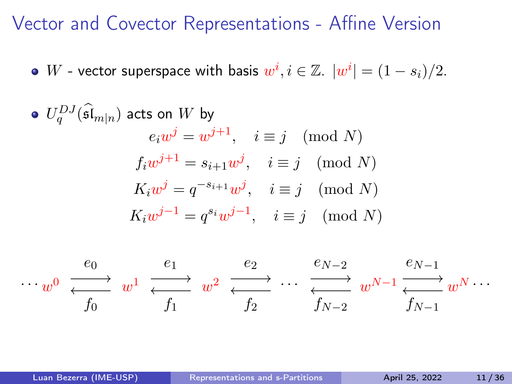$W$  - vector superspace with basis  $w^i, i \in \mathbb{Z}$ .  $|w^i| = (1-s_i)/2$ .

 $U_q^{DJ}(\widehat{\mathfrak{sl}}_{m|n})$  acts on  $W$  by  $e_i w^j = w^{j+1}, \quad i \equiv j \pmod{N}$  $f_i w^{j+1} = s_{i+1} w^j$ ,  $i \equiv j \pmod{N}$  $K_iw^j = q^{-s_{i+1}}w^j$ ,  $i \equiv j \pmod{N}$  $K_i w^{j-1} = q^{s_i} w^{j-1}, \quad i \equiv j \pmod{N}$ 

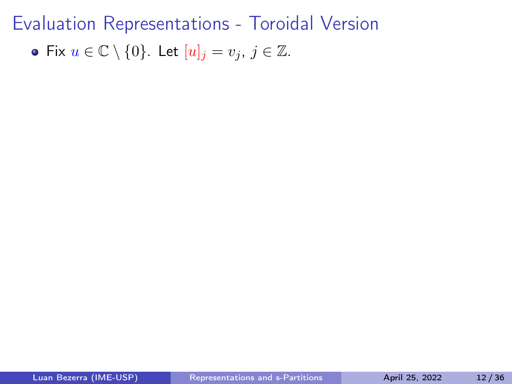• Fix 
$$
u \in \mathbb{C} \setminus \{0\}
$$
. Let  $[u]_j = v_j$ ,  $j \in \mathbb{Z}$ .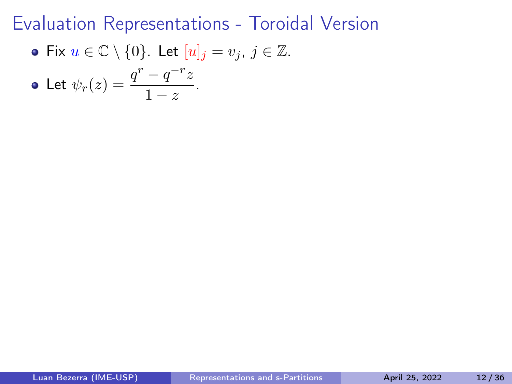• Fix 
$$
u \in \mathbb{C} \setminus \{0\}
$$
. Let  $[u]_j = v_j$ ,  $j \in \mathbb{Z}$ .

• Let 
$$
\psi_r(z) = \frac{q^r - q^{-r}z}{1 - z}
$$
.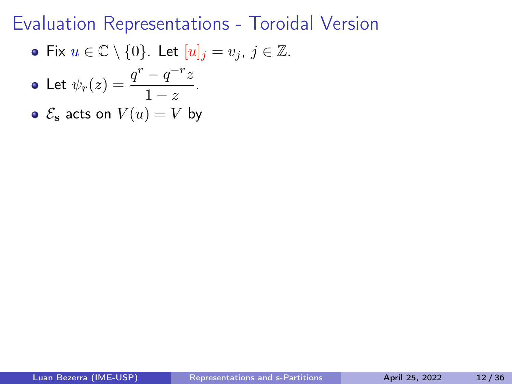• Fix  $u \in \mathbb{C} \setminus \{0\}$ . Let  $[u]_i = v_i$ ,  $j \in \mathbb{Z}$ .

• Let 
$$
\psi_r(z) = \frac{q^r - q^{-r}z}{1 - z}
$$
.

 $\bullet \mathcal{E}_s$  acts on  $V(u) = V$  by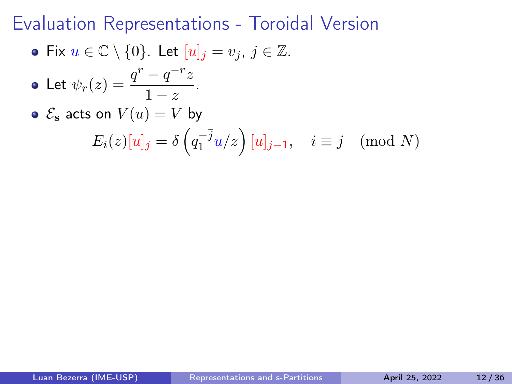• Fix  $u \in \mathbb{C} \setminus \{0\}$ . Let  $[u]_i = v_i, j \in \mathbb{Z}$ .

• Let 
$$
\psi_r(z) = \frac{q^r - q^{-r}z}{1 - z}
$$
.

 $\bullet \mathcal{E}_s$  acts on  $V(u) = V$  by  $E_i(z)[u]_j = \delta\left(q_1^{-\overline{j}}\right)$  $\left(\begin{matrix} -\bar{j} & i \end{matrix}\right) [u]_{j-1}, \quad i \equiv j \pmod{N}$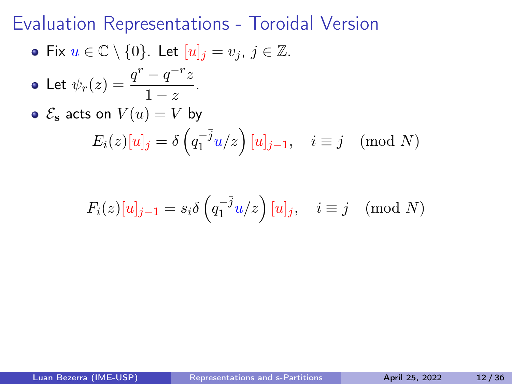• Fix  $u \in \mathbb{C} \setminus \{0\}$ . Let  $[u]_i = v_i$ ,  $j \in \mathbb{Z}$ .

• Let 
$$
\psi_r(z) = \frac{q^r - q^{-r}z}{1 - z}
$$
.

• 
$$
\mathcal{E}_{\mathbf{s}}
$$
 acts on  $V(u) = V$  by  
\n
$$
E_i(z)[u]_j = \delta\left(q_1^{-\bar{j}}u/z\right)[u]_{j-1}, \quad i \equiv j \pmod{N}
$$

$$
F_i(z)[u]_{j-1} = s_i \delta\left(q_1^{-\bar{j}} u/z\right)[u]_j, \quad i \equiv j \pmod{N}
$$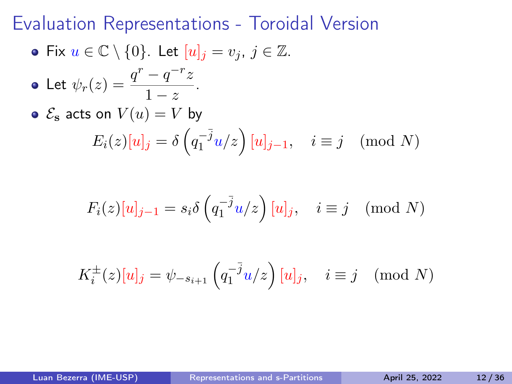• Fix  $u \in \mathbb{C} \setminus \{0\}$ . Let  $[u]_i = v_i$ ,  $j \in \mathbb{Z}$ .

• Let 
$$
\psi_r(z) = \frac{q^r - q^{-r}z}{1 - z}
$$
.

• 
$$
\mathcal{E}_{\mathbf{s}}
$$
 acts on  $V(u) = V$  by  
\n
$$
E_i(z)[u]_j = \delta\left(q_1^{-\bar{j}}u/z\right)[u]_{j-1}, \quad i \equiv j \pmod{N}
$$

$$
F_i(z)[u]_{j-1} = s_i \delta\left(q_1^{-\bar{j}} u/z\right)[u]_j, \quad i \equiv j \pmod{N}
$$

$$
K_i^{\pm}(z)[u]_j = \psi_{-s_{i+1}}\left(q_1^{-\overline{j}}u/z\right)[u]_j, \quad i \equiv j \pmod{N}
$$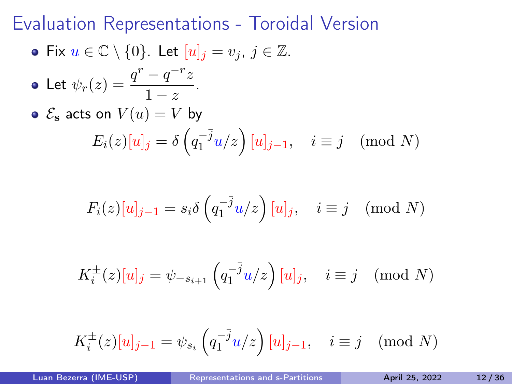• Fix 
$$
u \in \mathbb{C} \setminus \{0\}
$$
. Let  $[u]_j = v_j$ ,  $j \in \mathbb{Z}$ .

• Let 
$$
\psi_r(z) = \frac{q^r - q^{-r}z}{1 - z}
$$
.

• 
$$
\mathcal{E}_{\mathbf{s}}
$$
 acts on  $V(u) = V$  by  
\n
$$
E_i(z)[u]_j = \delta\left(q_1^{-\bar{j}}u/z\right)[u]_{j-1}, \quad i \equiv j \pmod{N}
$$

$$
F_i(z)[u]_{j-1} = s_i \delta\left(q_1^{-\bar{j}} u/z\right)[u]_j, \quad i \equiv j \pmod{N}
$$

$$
K_i^{\pm}(z)[u]_j = \psi_{-s_{i+1}}\left(q_1^{-\overline{j}}u/z\right)[u]_j, \quad i \equiv j \pmod{N}
$$

$$
K_i^{\pm}(z)[u]_{j-1} = \psi_{s_i}\left(q_1^{-\overline{j}}u/z\right)[u]_{j-1}, \quad i \equiv j \pmod{N}
$$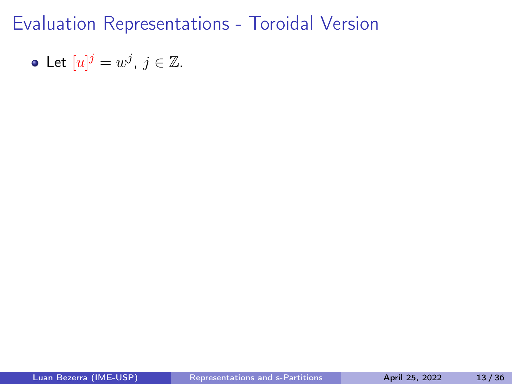• Let 
$$
[u]^j = w^j
$$
,  $j \in \mathbb{Z}$ .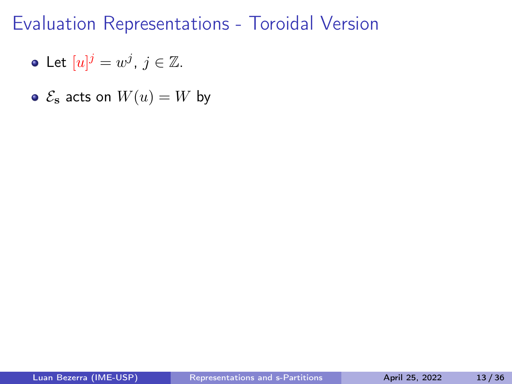- Let  $[u]^j = w^j$ ,  $j \in \mathbb{Z}$ .
- $\bullet \ \mathcal{E}_s$  acts on  $W(u) = W$  by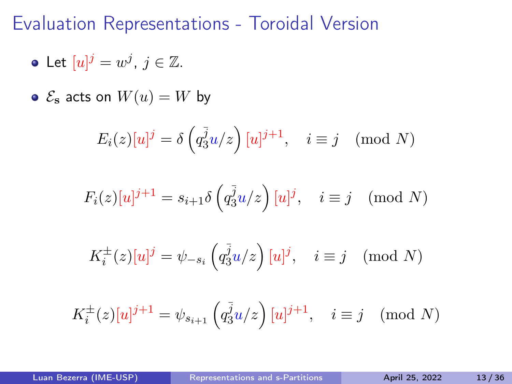#### Evaluation Representations - Toroidal Version

- Let  $[u]^j = w^j$ ,  $j \in \mathbb{Z}$ .
- $\bullet \ \mathcal{E}_s$  acts on  $W(u) = W$  by

$$
E_i(z)[u]^j = \delta\left(q_3^{\bar{j}}u/z\right)[u]^{j+1}, \quad i \equiv j \pmod{N}
$$

$$
F_i(z)[u]^{j+1} = s_{i+1}\delta\left(q_3^{\bar{j}}u/z\right)[u]^j, \quad i \equiv j \pmod{N}
$$

$$
K_i^{\pm}(z)[u]^j = \psi_{-s_i}\left(q_3^{\overline{j}}u/z\right)[u]^j, \quad i \equiv j \pmod{N}
$$

$$
K_i^{\pm}(z)[u]^{j+1} = \psi_{s_{i+1}}\left(q_3^{\overline{j}}u/z\right)[u]^{j+1}, \quad i \equiv j \pmod{N}
$$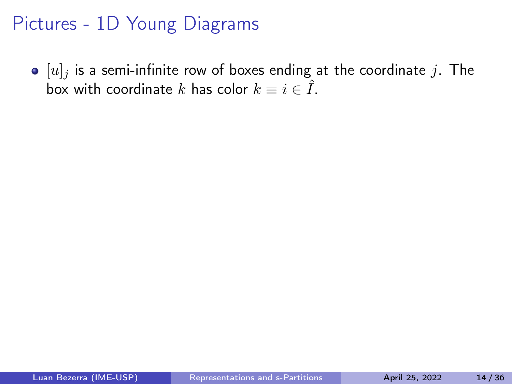$\bullet$  [u]<sub>j</sub> is a semi-infinite row of boxes ending at the coordinate j. The box with coordinate k has color  $k \equiv i \in \hat{I}$ .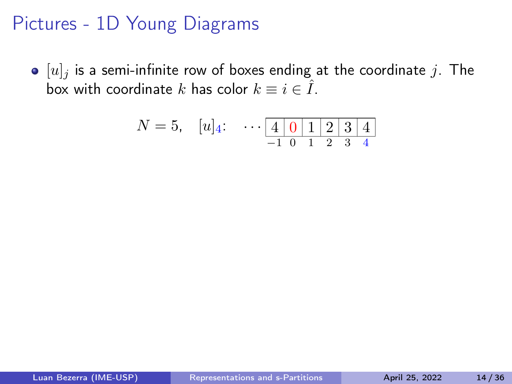$\bullet$  [u]<sub>j</sub> is a semi-infinite row of boxes ending at the coordinate j. The box with coordinate k has color  $k \equiv i \in \hat{I}$ .

$$
N = 5, \quad [u]_4: \quad \cdots \underbrace{4 \mid 0 \mid 1 \mid 2 \mid 3 \mid 4}_{-1 \quad 0 \quad 1 \quad 2 \quad 3 \quad 4}
$$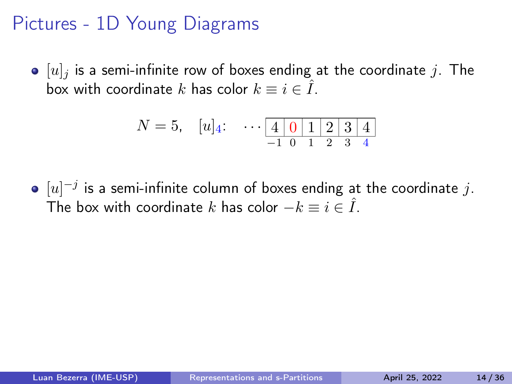$\bullet$  [u]<sub>j</sub> is a semi-infinite row of boxes ending at the coordinate j. The box with coordinate k has color  $k \equiv i \in \hat{I}$ .

$$
N = 5, \quad [u]_4: \quad \cdots \underbrace{4 \mid 0 \mid 1 \mid 2 \mid 3 \mid 4}_{-1 \quad 0 \quad 1 \quad 2 \quad 3 \quad 4}
$$

 $[u]^{-j}$  is a semi-infinite column of boxes ending at the coordinate  $j.$ The box with coordinate k has color  $-k \equiv i \in \hat{I}$ .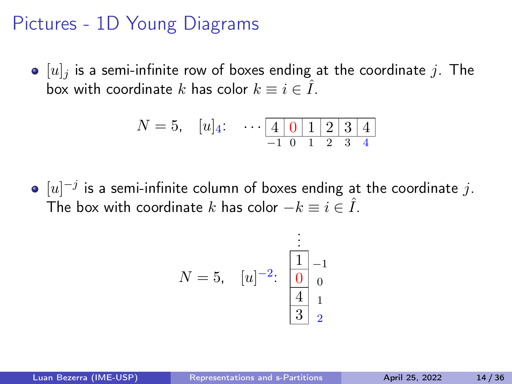$\bullet$  [u]<sub>j</sub> is a semi-infinite row of boxes ending at the coordinate j. The box with coordinate k has color  $k \equiv i \in \hat{I}$ .

$$
N = 5, \quad [u]_4: \quad \cdots \underbrace{4 \mid 0 \mid 1 \mid 2 \mid 3 \mid 4}_{-1 \quad 0 \quad 1 \quad 2 \quad 3 \quad 4}
$$

 $[u]^{-j}$  is a semi-infinite column of boxes ending at the coordinate  $j.$ The box with coordinate k has color  $-k \equiv i \in \hat{I}$ .

$$
N = 5, \quad [u]^{-2}: \begin{array}{c} \vdots \\ \boxed{1} \\ \boxed{0} \\ \boxed{4} \\ 3 \end{array} \bigg| \begin{array}{c} \vdots \\ 1 \\ 0 \\ 1 \\ 2 \end{array}
$$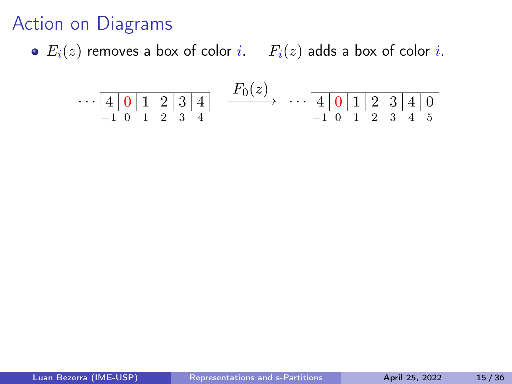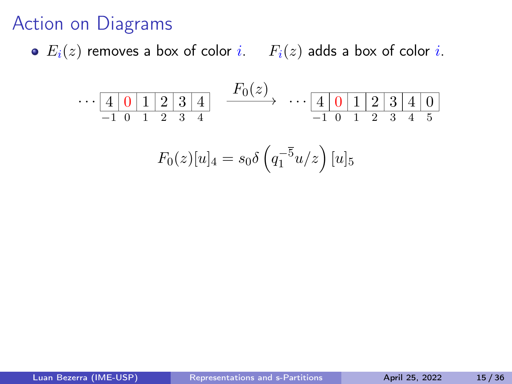$$
\cdots \underbrace{4 \mid 0 \mid 1 \mid 2 \mid 3 \mid 4}_{-1 \mid 0 \mid 1 \mid 2 \mid 3 \mid 4} \xrightarrow{F_0(z)} \cdots \underbrace{4 \mid 0 \mid 1 \mid 2 \mid 3 \mid 4 \mid 0}_{-1 \mid 0 \mid 1 \mid 2 \mid 3 \mid 4 \mid 5}
$$

$$
F_0(z)[u]_4 = s_0 \delta \left( q_1^{-5} u/z \right) [u]_5
$$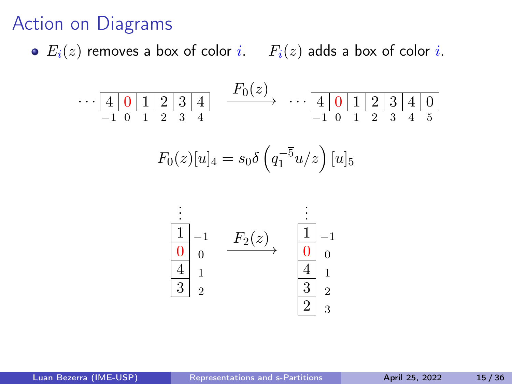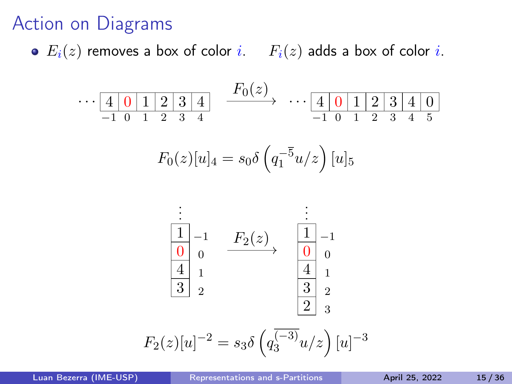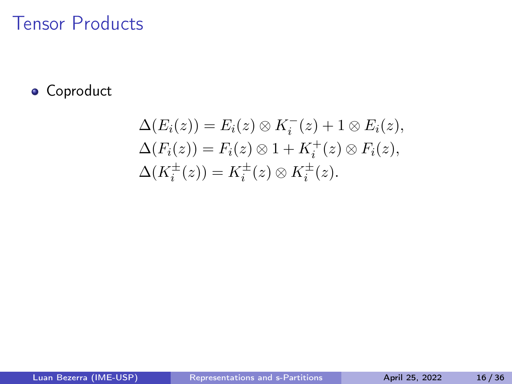#### **•** Coproduct

$$
\Delta(E_i(z)) = E_i(z) \otimes K_i^-(z) + 1 \otimes E_i(z),
$$
  
\n
$$
\Delta(F_i(z)) = F_i(z) \otimes 1 + K_i^+(z) \otimes F_i(z),
$$
  
\n
$$
\Delta(K_i^{\pm}(z)) = K_i^{\pm}(z) \otimes K_i^{\pm}(z).
$$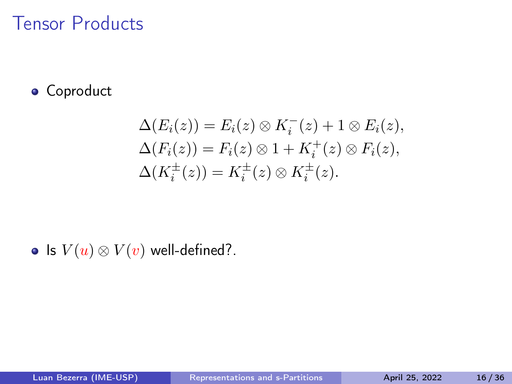#### **•** Coproduct

$$
\Delta(E_i(z)) = E_i(z) \otimes K_i^-(z) + 1 \otimes E_i(z),
$$
  
\n
$$
\Delta(F_i(z)) = F_i(z) \otimes 1 + K_i^+(z) \otimes F_i(z),
$$
  
\n
$$
\Delta(K_i^{\pm}(z)) = K_i^{\pm}(z) \otimes K_i^{\pm}(z).
$$

• Is  $V(u) \otimes V(v)$  well-defined?.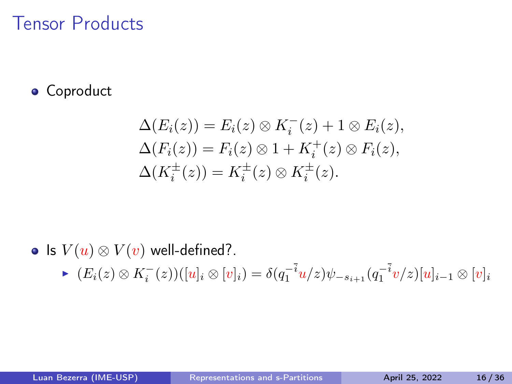#### **•** Coproduct

$$
\Delta(E_i(z)) = E_i(z) \otimes K_i^-(z) + 1 \otimes E_i(z),
$$
  
\n
$$
\Delta(F_i(z)) = F_i(z) \otimes 1 + K_i^+(z) \otimes F_i(z),
$$
  
\n
$$
\Delta(K_i^{\pm}(z)) = K_i^{\pm}(z) \otimes K_i^{\pm}(z).
$$

#### • Is  $V(u) \otimes V(v)$  well-defined?.

►  $(E_i(z) \otimes K_i^-(z))([u]_i \otimes [v]_i) = \delta(q_1^{-i}u/z)\psi_{-s_{i+1}}(q_1^{-i}v/z)[u]_{i-1} \otimes [v]_i$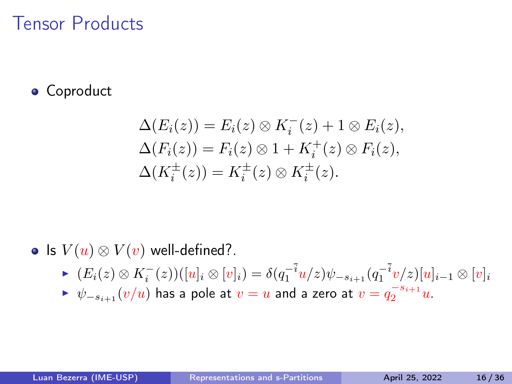#### **•** Coproduct

$$
\Delta(E_i(z)) = E_i(z) \otimes K_i^-(z) + 1 \otimes E_i(z),
$$
  
\n
$$
\Delta(F_i(z)) = F_i(z) \otimes 1 + K_i^+(z) \otimes F_i(z),
$$
  
\n
$$
\Delta(K_i^{\pm}(z)) = K_i^{\pm}(z) \otimes K_i^{\pm}(z).
$$

#### • Is  $V(u) \otimes V(v)$  well-defined?.

- ►  $(E_i(z) \otimes K_i^-(z))([u]_i \otimes [v]_i) = \delta(q_1^{-i}u/z)\psi_{-s_{i+1}}(q_1^{-i}v/z)[u]_{i-1} \otimes [v]_i$
- ►  $\psi_{-s_{i+1}}(v/u)$  has a pole at  $v=u$  and a zero at  $v=q_2^{-s_{i+1}}u$ .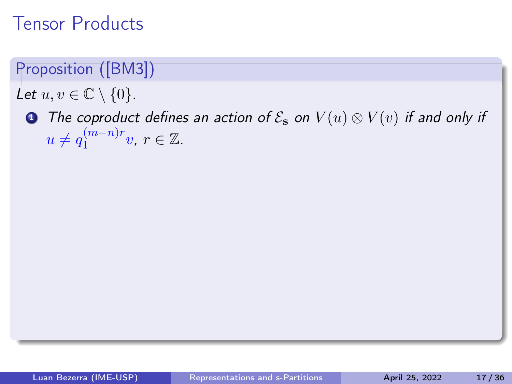- Let  $u, v \in \mathbb{C} \setminus \{0\}$ .
	- **■** The coproduct defines an action of  $\mathcal{E}_s$  on  $V(u) \otimes V(v)$  if and only if  $u \neq q_1^{(m-n)r}$  $i^{(m-n)r}_{1}$ v,  $r \in \mathbb{Z}$ .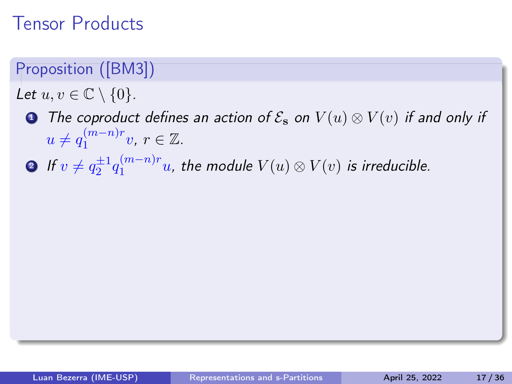- Let  $u, v \in \mathbb{C} \setminus \{0\}$ .
	- **1** The coproduct defines an action of  $\mathcal{E}_s$  on  $V(u) \otimes V(v)$  if and only if  $u \neq q_1^{(m-n)r}$  $i^{(m-n)r}_{1}$ v,  $r \in \mathbb{Z}$ .
	- **2** If  $v \neq q_2^{\pm 1} q_1^{(m-n)r}$  $\sum_{1}^{(m-n)r} u$ , the module  $V(u)\otimes V(v)$  is irreducible.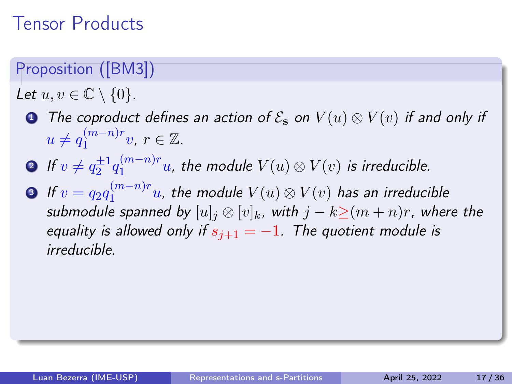- Let  $u, v \in \mathbb{C} \setminus \{0\}$ .
	- **1** The coproduct defines an action of  $\mathcal{E}_s$  on  $V(u) \otimes V(v)$  if and only if  $u \neq q_1^{(m-n)r}$  $i^{(m-n)r}_{1}$ v,  $r \in \mathbb{Z}$ .
	- **2** If  $v \neq q_2^{\pm 1} q_1^{(m-n)r}$  $\sum_{1}^{(m-n)r} u$ , the module  $V(u)\otimes V(v)$  is irreducible.
	- 3 If  $v = q_2 q_1^{(m-n)r}$  $\frac{(m-n)r}{1}u$ , the module  $V(u)\otimes V(v)$  has an irreducible submodule spanned by  $[u]_i \otimes [v]_k$ , with  $j - k \geq (m + n)r$ , where the equality is allowed only if  $s_{i+1} = -1$ . The quotient module is irreducible.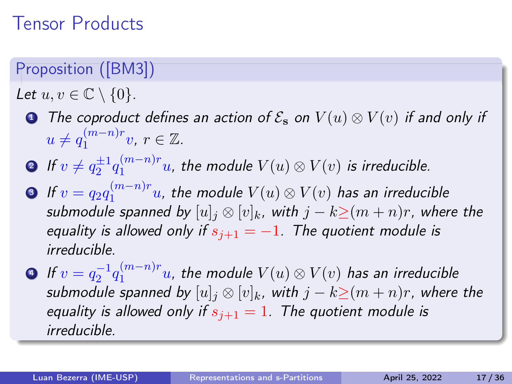- Let  $u, v \in \mathbb{C} \setminus \{0\}$ .
	- **1** The coproduct defines an action of  $\mathcal{E}_s$  on  $V(u) \otimes V(v)$  if and only if  $u \neq q_1^{(m-n)r}$  $i^{(m-n)r}_{1}$ v,  $r \in \mathbb{Z}$ .
	- **2** If  $v \neq q_2^{\pm 1} q_1^{(m-n)r}$  $\sum_{1}^{(m-n)r} u$ , the module  $V(u)\otimes V(v)$  is irreducible.
	- 3 If  $v = q_2 q_1^{(m-n)r}$  $\frac{(m-n)r}{1}u$ , the module  $V(u)\otimes V(v)$  has an irreducible submodule spanned by  $[u]_i \otimes [v]_k$ , with  $j - k \geq (m + n)r$ , where the equality is allowed only if  $s_{i+1} = -1$ . The quotient module is irreducible.
	- 4 If  $v = q_2^{-1} q_1^{(m-n)r}$  $\sum_{1}^{(m-n)r}u$ , the module  $V(u)\otimes V(v)$  has an irreducible submodule spanned by  $[u]_i \otimes [v]_k$ , with  $j - k \geq (m + n)r$ , where the equality is allowed only if  $s_{i+1} = 1$ . The quotient module is irreducible.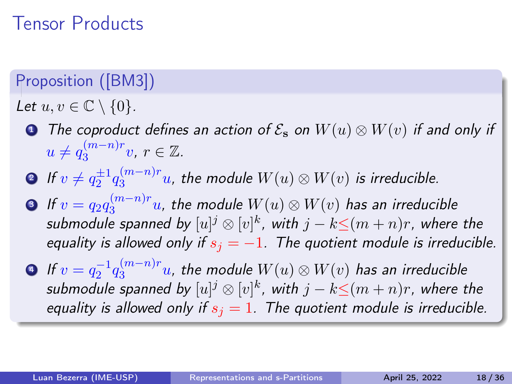- Let  $u, v \in \mathbb{C} \setminus \{0\}.$ 
	- **1** The coproduct defines an action of  $\mathcal{E}_s$  on  $W(u) \otimes W(v)$  if and only if  $u \neq q_3^{(m-n)r}$  $\mathbb{S}^{(m-n)r}$ v,  $r \in \mathbb{Z}$ .
	- **2** If  $v \neq q_2^{\pm 1} q_3^{(m-n)r}$  $\int_3^{(m-n)r}$ u, the module  $W(u)\otimes W(v)$  is irreducible.
	- 3 If  $v = q_2 q_3^{(m-n)r}$  $\frac{(m-n)r}{3}u$ , the module  $W(u)\otimes W(v)$  has an irreducible submodule spanned by  $[u]^j\otimes [v]^k$ , with  $j-k{\leq} (m+n)r$ , where the equality is allowed only if  $s_i = -1$ . The quotient module is irreducible.
	- 4 If  $v = q_2^{-1} q_3^{(m-n)r}$  $\mathbb{S}^{(m-n)r}_3u$ , the module  $W(u)\otimes W(v)$  has an irreducible submodule spanned by  $[u]^j\otimes [v]^k$ , with  $j-k{\leq} (m+n)r$ , where the equality is allowed only if  $s_i = 1$ . The quotient module is irreducible.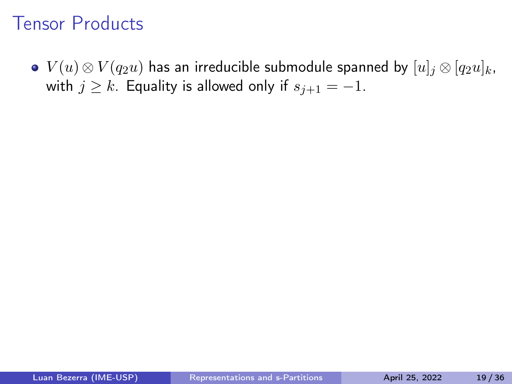•  $V(u) \otimes V(q_2u)$  has an irreducible submodule spanned by  $[u]_i \otimes [q_2u]_k$ , with  $j \geq k$ . Equality is allowed only if  $s_{i+1} = -1$ .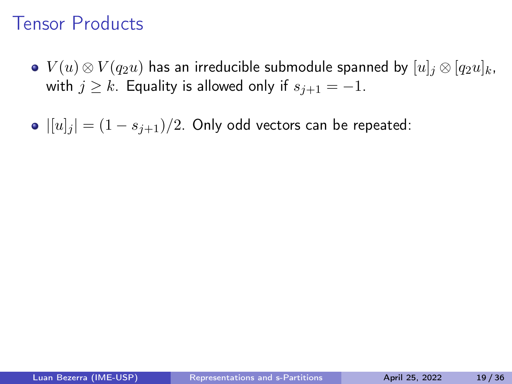- $V(u) \otimes V(q_2u)$  has an irreducible submodule spanned by  $[u]_i \otimes [q_2u]_k$ , with  $j \geq k$ . Equality is allowed only if  $s_{j+1} = -1$ .
- $||u||_i = (1 s_{i+1})/2$ . Only odd vectors can be repeated: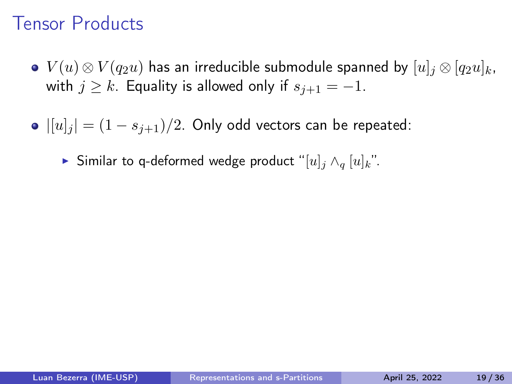- $V(u) \otimes V(q_2u)$  has an irreducible submodule spanned by  $[u]_i \otimes [q_2u]_k$ , with  $j \geq k$ . Equality is allowed only if  $s_{j+1} = -1$ .
- $||u||_i = (1 s_{i+1})/2$ . Only odd vectors can be repeated:
	- ▶ Similar to q-deformed wedge product "[u]<sub>j</sub>  $\wedge_q$  [u]<sub>k</sub>".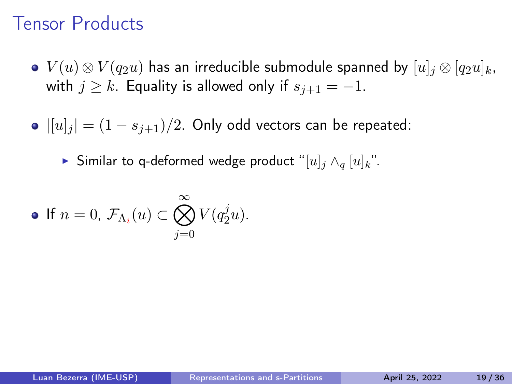- $V(u) \otimes V(q_2u)$  has an irreducible submodule spanned by  $[u]_i \otimes [q_2u]_k$ , with  $j \geq k$ . Equality is allowed only if  $s_{j+1} = -1$ .
- $||u||_i = (1 s_{i+1})/2$ . Only odd vectors can be repeated:

▶ Similar to q-deformed wedge product "[u]<sub>j</sub>  $\wedge_q$  [u]<sub>k</sub>".

• If 
$$
n = 0
$$
,  $\mathcal{F}_{\Lambda_i}(u) \subset \bigotimes_{j=0}^{\infty} V(q_2^j u)$ .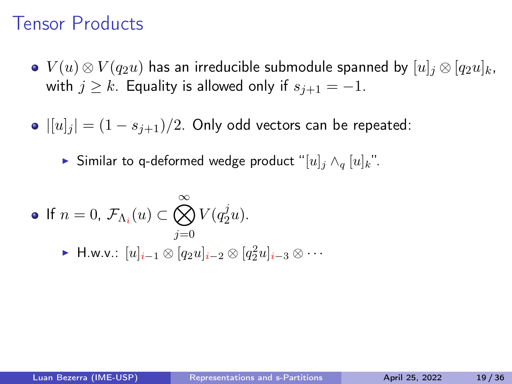- $V(u) \otimes V(q_2u)$  has an irreducible submodule spanned by  $[u]_i \otimes [q_2u]_k$ , with  $j \geq k$ . Equality is allowed only if  $s_{j+1} = -1$ .
- $||u||_i = (1 s_{i+1})/2$ . Only odd vectors can be repeated:

▶ Similar to q-deformed wedge product "[u]<sub>j</sub>  $\wedge_q$  [u]<sub>k</sub>".

• If 
$$
n = 0
$$
,  $\mathcal{F}_{\Lambda_i}(u) \subset \bigotimes_{j=0}^{\infty} V(q_2^j u)$ .  
\n• H.w.v.:  $[u]_{i-1} \otimes [q_2 u]_{i-2} \otimes [q_2^2 u]_{i-3} \otimes \cdots$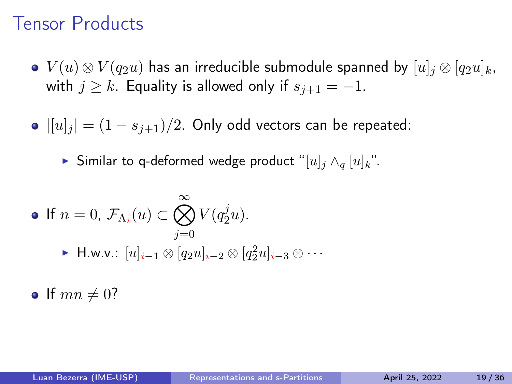- $V(u) \otimes V(q_2u)$  has an irreducible submodule spanned by  $[u]_i \otimes [q_2u]_k$ , with  $j \geq k$ . Equality is allowed only if  $s_{j+1} = -1$ .
- $||u||_i = (1 s_{i+1})/2$ . Only odd vectors can be repeated:

▶ Similar to q-deformed wedge product "[u]<sub>j</sub>  $\wedge_q$  [u]<sub>k</sub>".

• If 
$$
n = 0
$$
,  $\mathcal{F}_{\Lambda_i}(u) \subset \bigotimes_{j=0}^{\infty} V(q_2^j u)$ .  
\n• H.w.v.:  $[u]_{i-1} \otimes [q_2 u]_{i-2} \otimes [q_2^2 u]_{i-3} \otimes \cdots$ 

• If  $mn \neq 0$ ?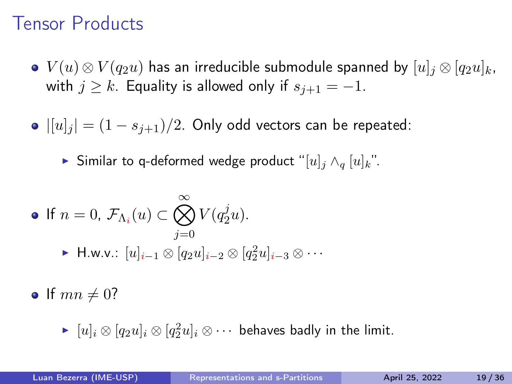- $V(u) \otimes V(q_2u)$  has an irreducible submodule spanned by  $[u]_i \otimes [q_2u]_k$ , with  $j \geq k$ . Equality is allowed only if  $s_{j+1} = -1$ .
- $\bullet$   $|[u]_i | = (1 s_{i+1})/2$ . Only odd vectors can be repeated:

▶ Similar to q-deformed wedge product "[u]<sub>j</sub>  $\wedge_q$  [u]<sub>k</sub>".

• If 
$$
n = 0
$$
,  $\mathcal{F}_{\Lambda_i}(u) \subset \bigotimes_{j=0}^{\infty} V(q_2^j u)$ .  
\n• H.w.v.:  $[u]_{i-1} \otimes [q_2 u]_{i-2} \otimes [q_2^2 u]_{i-3} \otimes \cdots$ 

• If  $mn \neq 0$ ?

 $\blacktriangleright \ [u]_i \otimes [q_2u]_i \otimes [q_2^2u]_i \otimes \cdots$  behaves badly in the limit.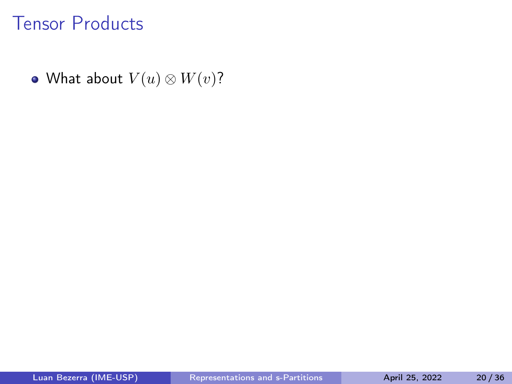• What about  $V(u) \otimes W(v)$ ?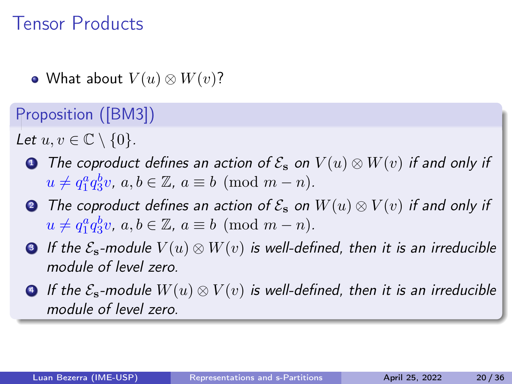• What about  $V(u) \otimes W(v)$ ?

Proposition ([\[BM3\]](#page-163-0))

Let  $u, v \in \mathbb{C} \setminus \{0\}$ .

- **4** The coproduct defines an action of  $\mathcal{E}_s$  on  $V(u) \otimes W(v)$  if and only if  $u \neq q_1^a q_3^b v, a, b \in \mathbb{Z}, a \equiv b \pmod{m-n}.$
- **●** The coproduct defines an action of  $\mathcal{E}_s$  on  $W(u) \otimes V(v)$  if and only if  $u \neq q_1^a q_3^b v, a, b \in \mathbb{Z}, a \equiv b \pmod{m-n}.$
- **3** If the  $\mathcal{E}_s$ -module  $V(u) \otimes W(v)$  is well-defined, then it is an irreducible module of level zero.
- $\bullet$  If the  $\mathcal{E}_{s}$ -module  $W(u) \otimes V(v)$  is well-defined, then it is an irreducible module of level zero.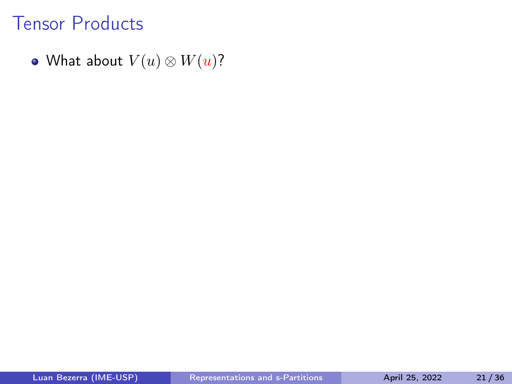• What about  $V(u) \otimes W(u)$ ?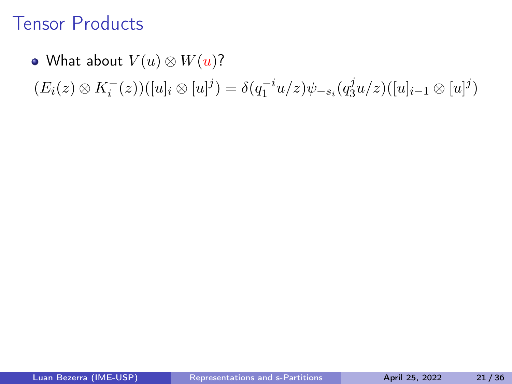#### • What about  $V(u) \otimes W(u)$ ?

 $(E_i(z) \otimes K_i^-(z))([u]_i \otimes [u]^j) = \delta(q_1^{-i}u/z)\psi_{-s_i}(q_3^j)$  $\frac{j_3}{3}u/z)([u]_{i-1}\otimes[u]^j)$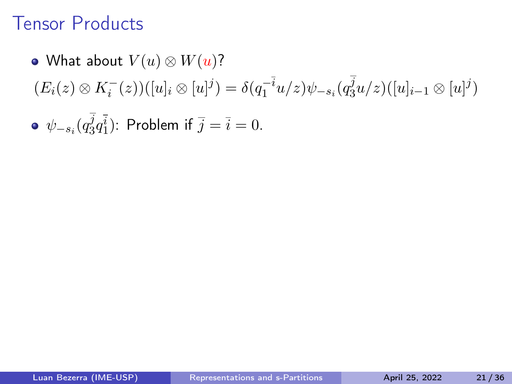#### • What about  $V(u) \otimes W(u)$ ?  $(E_i(z) \otimes K_i^-(z))([u]_i \otimes [u]^j) = \delta(q_1^{-i}u/z)\psi_{-s_i}(q_3^j)$  $\frac{j_3}{3}u/z)([u]_{i-1}\otimes[u]^j)$  $\psi_{-s_i}(q_3^j$  $j_3^j q_1^i$ ): Problem if  $\overline{j} = \overline{i} = 0$ .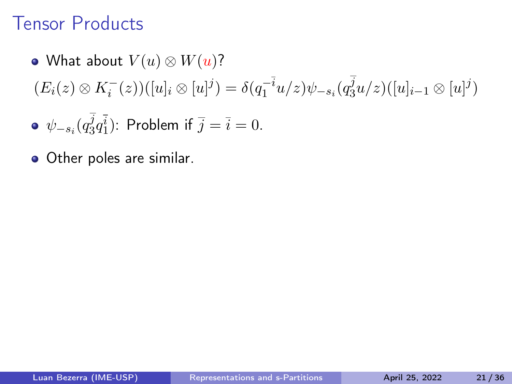#### • What about  $V(u) \otimes W(u)$ ?  $(E_i(z) \otimes K_i^-(z))([u]_i \otimes [u]^j) = \delta(q_1^{-i}u/z)\psi_{-s_i}(q_3^j)$  $\frac{j_3}{3}u/z)([u]_{i-1}\otimes[u]^j)$  $\sim$

• 
$$
\psi_{-s_i}(q_3^j q_1^{\bar{i}})
$$
: Problem if  $\bar{j} = \bar{i} = 0$ .

• Other poles are similar.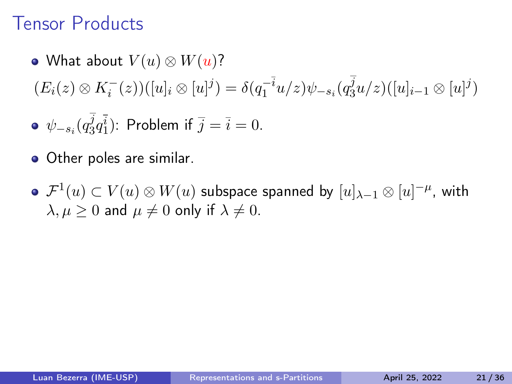- What about  $V(u) \otimes W(u)$ ?  $(E_i(z) \otimes K_i^-(z))([u]_i \otimes [u]^j) = \delta(q_1^{-i}u/z)\psi_{-s_i}(q_3^j)$  $\frac{j_3}{3}u/z)([u]_{i-1}\otimes[u]^j)$  $\psi_{-s_i}(q_3^j$  $j_3^j q_1^i$ ): Problem if  $\overline{j} = \overline{i} = 0$ .
- Other poles are similar.
- $\mathcal{F}^1(u)\subset V(u)\otimes W(u)$  subspace spanned by  $[u]_{\lambda-1}\otimes [u]^{-\mu}$ , with  $\lambda, \mu \geq 0$  and  $\mu \neq 0$  only if  $\lambda \neq 0$ .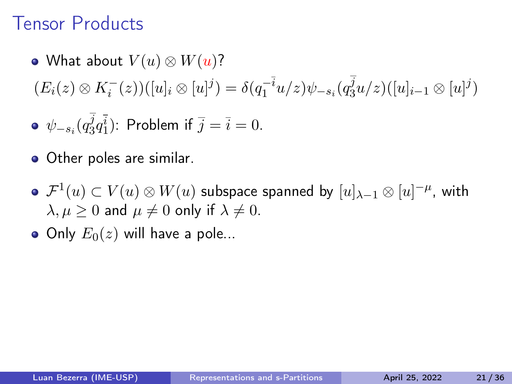- What about  $V(u) \otimes W(u)$ ?  $(E_i(z) \otimes K_i^-(z))([u]_i \otimes [u]^j) = \delta(q_1^{-i}u/z)\psi_{-s_i}(q_3^j)$  $\frac{j_3}{3}u/z)([u]_{i-1}\otimes[u]^j)$  $\psi_{-s_i}(q_3^j$  $j_3^j q_1^i$ ): Problem if  $\overline{j} = \overline{i} = 0$ .
- Other poles are similar.
- $\mathcal{F}^1(u)\subset V(u)\otimes W(u)$  subspace spanned by  $[u]_{\lambda-1}\otimes [u]^{-\mu}$ , with  $\lambda, \mu \geq 0$  and  $\mu \neq 0$  only if  $\lambda \neq 0$ .
- Only  $E_0(z)$  will have a pole...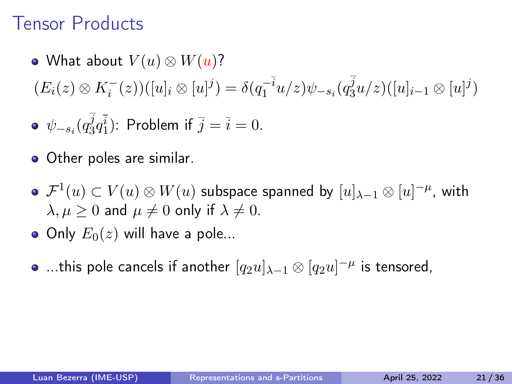- What about  $V(u) \otimes W(u)$ ?  $(E_i(z) \otimes K_i^-(z))([u]_i \otimes [u]^j) = \delta(q_1^{-i}u/z)\psi_{-s_i}(q_3^j)$  $\frac{j_3}{3}u/z)([u]_{i-1}\otimes[u]^j)$  $\psi_{-s_i}(q_3^j$  $j_3^j q_1^i$ ): Problem if  $\overline{j} = \overline{i} = 0$ .
- Other poles are similar.
- $\mathcal{F}^1(u)\subset V(u)\otimes W(u)$  subspace spanned by  $[u]_{\lambda-1}\otimes [u]^{-\mu}$ , with  $\lambda, \mu \geq 0$  and  $\mu \neq 0$  only if  $\lambda \neq 0$ .
- Only  $E_0(z)$  will have a pole...
- …this pole cancels if another  $[q_2u]_{\lambda-1}\otimes [q_2u]^{-\mu}$  is tensored,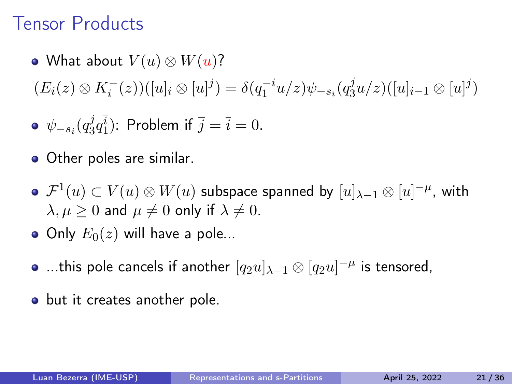- What about  $V(u) \otimes W(u)$ ?  $(E_i(z) \otimes K_i^-(z))([u]_i \otimes [u]^j) = \delta(q_1^{-i}u/z)\psi_{-s_i}(q_3^j)$  $\frac{j_3}{3}u/z)([u]_{i-1}\otimes[u]^j)$  $\psi_{-s_i}(q_3^j$  $j_3^j q_1^i$ ): Problem if  $\overline{j} = \overline{i} = 0$ .
- Other poles are similar.
- $\mathcal{F}^1(u)\subset V(u)\otimes W(u)$  subspace spanned by  $[u]_{\lambda-1}\otimes [u]^{-\mu}$ , with  $\lambda, \mu \geq 0$  and  $\mu \neq 0$  only if  $\lambda \neq 0$ .
- Only  $E_0(z)$  will have a pole...
- …this pole cancels if another  $[q_2u]_{\lambda-1}\otimes [q_2u]^{-\mu}$  is tensored,
- but it creates another pole.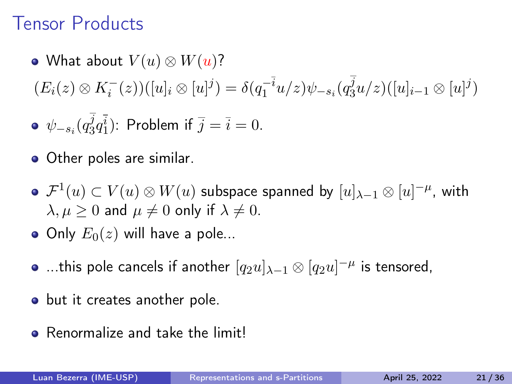- What about  $V(u) \otimes W(u)$ ?  $(E_i(z) \otimes K_i^-(z))([u]_i \otimes [u]^j) = \delta(q_1^{-i}u/z)\psi_{-s_i}(q_3^j)$  $\frac{j_3}{3}u/z)([u]_{i-1}\otimes[u]^j)$  $\psi_{-s_i}(q_3^j$  $j_3^j q_1^i$ ): Problem if  $\overline{j} = \overline{i} = 0$ .
- Other poles are similar.
- $\mathcal{F}^1(u)\subset V(u)\otimes W(u)$  subspace spanned by  $[u]_{\lambda-1}\otimes [u]^{-\mu}$ , with  $\lambda, \mu \geq 0$  and  $\mu \neq 0$  only if  $\lambda \neq 0$ .
- Only  $E_0(z)$  will have a pole...
- …this pole cancels if another  $[q_2u]_{\lambda-1}\otimes [q_2u]^{-\mu}$  is tensored,
- but it creates another pole.
- Renormalize and take the limit!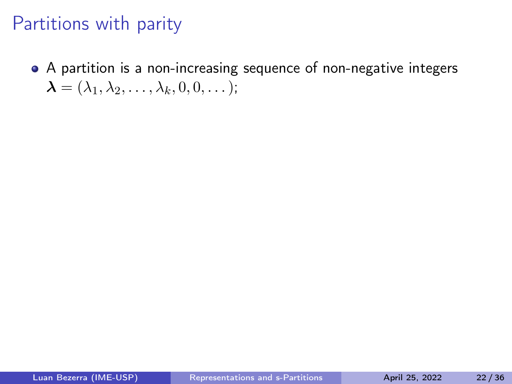A partition is a non-increasing sequence of non-negative integers  $\boldsymbol{\lambda} = (\lambda_1, \lambda_2, \ldots, \lambda_k, 0, 0, \ldots);$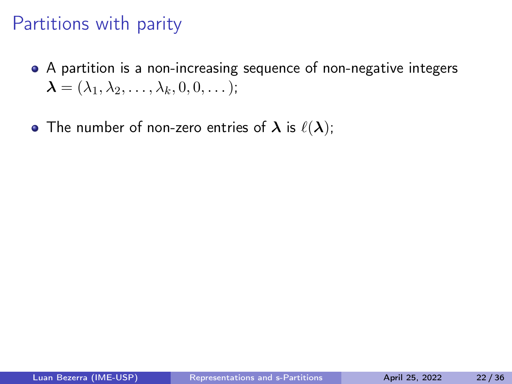- A partition is a non-increasing sequence of non-negative integers  $\boldsymbol{\lambda} = (\lambda_1, \lambda_2, \ldots, \lambda_k, 0, 0, \ldots);$
- The number of non-zero entries of  $\lambda$  is  $\ell(\lambda)$ ;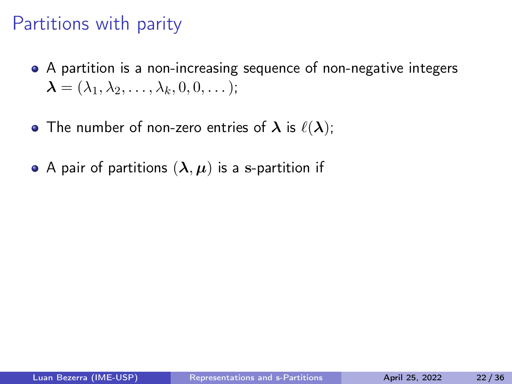- A partition is a non-increasing sequence of non-negative integers  $\boldsymbol{\lambda} = (\lambda_1, \lambda_2, \ldots, \lambda_k, 0, 0, \ldots);$
- The number of non-zero entries of  $\lambda$  is  $\ell(\lambda)$ ;
- A pair of partitions  $(\lambda, \mu)$  is a s-partition if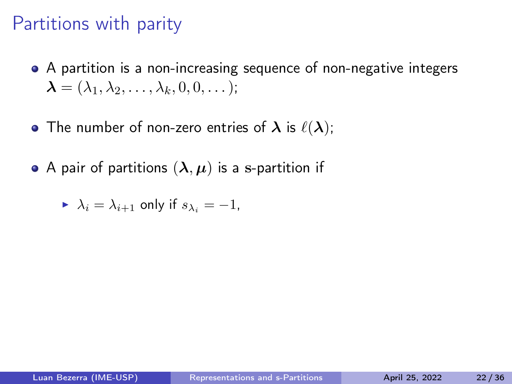- A partition is a non-increasing sequence of non-negative integers  $\boldsymbol{\lambda} = (\lambda_1, \lambda_2, \ldots, \lambda_k, 0, 0, \ldots);$
- The number of non-zero entries of  $\lambda$  is  $\ell(\lambda)$ ;
- A pair of partitions  $(\lambda, \mu)$  is a s-partition if

$$
\blacktriangleright \ \lambda_i = \lambda_{i+1} \text{ only if } s_{\lambda_i} = -1,
$$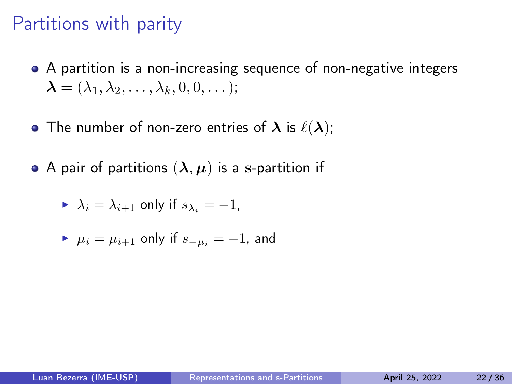- A partition is a non-increasing sequence of non-negative integers  $\boldsymbol{\lambda} = (\lambda_1, \lambda_2, \ldots, \lambda_k, 0, 0, \ldots);$
- The number of non-zero entries of  $\lambda$  is  $\ell(\lambda)$ ;
- A pair of partitions  $(\lambda, \mu)$  is a s-partition if

$$
\blacktriangleright \ \lambda_i = \lambda_{i+1} \text{ only if } s_{\lambda_i} = -1,
$$

$$
\blacktriangleright \mu_i = \mu_{i+1} \text{ only if } s_{-\mu_i} = -1 \text{, and}
$$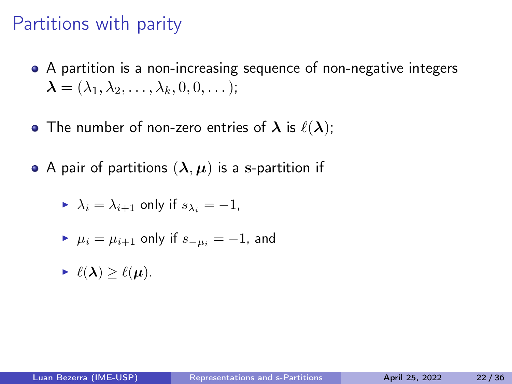- A partition is a non-increasing sequence of non-negative integers  $\boldsymbol{\lambda} = (\lambda_1, \lambda_2, \ldots, \lambda_k, 0, 0, \ldots);$
- The number of non-zero entries of  $\lambda$  is  $\ell(\lambda)$ ;
- A pair of partitions  $(\lambda, \mu)$  is a s-partition if

$$
\blacktriangleright \ \lambda_i = \lambda_{i+1} \text{ only if } s_{\lambda_i} = -1,
$$

$$
\blacktriangleright \mu_i = \mu_{i+1} \text{ only if } s_{-\mu_i} = -1 \text{, and}
$$

$$
\textbf{E} \ \ell(\boldsymbol{\lambda}) \geq \ell(\boldsymbol{\mu}).
$$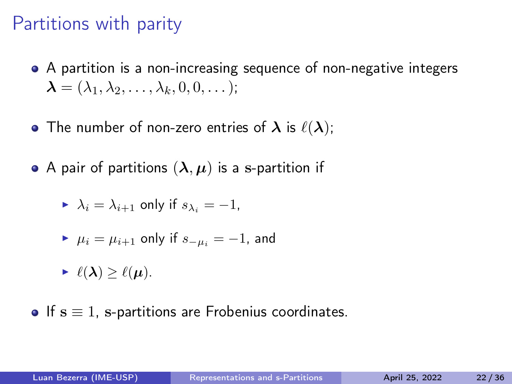- A partition is a non-increasing sequence of non-negative integers  $\boldsymbol{\lambda} = (\lambda_1, \lambda_2, \ldots, \lambda_k, 0, 0, \ldots);$
- The number of non-zero entries of  $\lambda$  is  $\ell(\lambda)$ ;
- A pair of partitions  $(\lambda, \mu)$  is a s-partition if

$$
\blacktriangleright \ \lambda_i = \lambda_{i+1} \text{ only if } s_{\lambda_i} = -1,
$$

$$
\blacktriangleright \mu_i = \mu_{i+1} \text{ only if } s_{-\mu_i} = -1, \text{ and}
$$

$$
\blacktriangleright \ell(\lambda) \geq \ell(\mu).
$$

 $\bullet$  If  $s \equiv 1$ , s-partitions are Frobenius coordinates.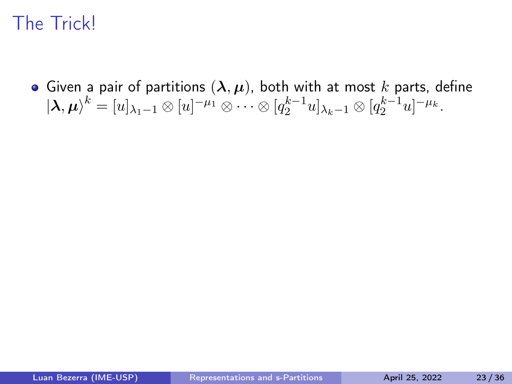• Given a pair of partitions  $(\lambda, \mu)$ , both with at most k parts, define  $|{\boldsymbol{\lambda}},{\boldsymbol{\mu}}\rangle^k=[u]_{\lambda_1-1}\otimes [u]^{-\mu_1}\otimes \cdots \otimes [q_2^{k-1}u]_{\lambda_k-1}\otimes [q_2^{k-1}u]^{-\mu_k}.$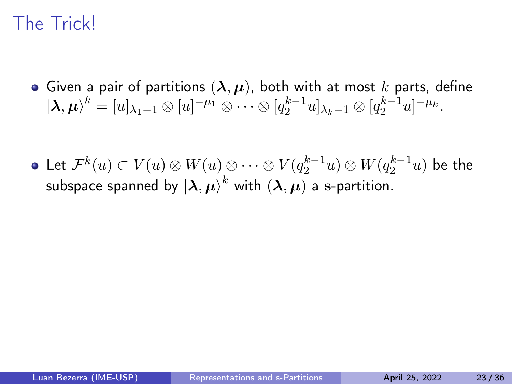- Given a pair of partitions  $(\lambda, \mu)$ , both with at most k parts, define  $|{\boldsymbol{\lambda}},{\boldsymbol{\mu}}\rangle^k=[u]_{\lambda_1-1}\otimes [u]^{-\mu_1}\otimes \cdots \otimes [q_2^{k-1}u]_{\lambda_k-1}\otimes [q_2^{k-1}u]^{-\mu_k}.$
- Let  $\mathcal{F}^k(u)\subset V(u)\otimes W(u) \otimes \cdots \otimes V(q_2^{k-1}u)\otimes W(q_2^{k-1}u)$  be the subspace spanned by  $\ket{\boldsymbol{\lambda},\boldsymbol{\mu}}^k$  with  $(\boldsymbol{\lambda},\boldsymbol{\mu})$  a s-partition.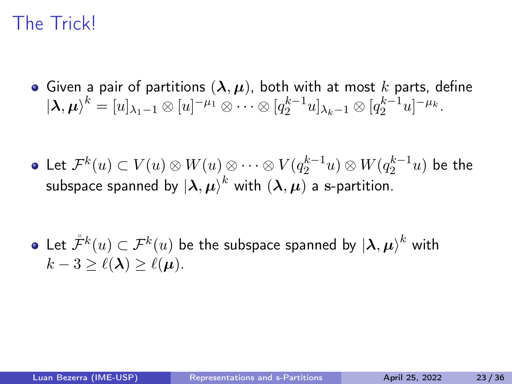- Given a pair of partitions  $(\lambda, \mu)$ , both with at most k parts, define  $|{\boldsymbol{\lambda}},{\boldsymbol{\mu}}\rangle^k=[u]_{\lambda_1-1}\otimes [u]^{-\mu_1}\otimes \cdots \otimes [q_2^{k-1}u]_{\lambda_k-1}\otimes [q_2^{k-1}u]^{-\mu_k}.$
- Let  $\mathcal{F}^k(u)\subset V(u)\otimes W(u) \otimes \cdots \otimes V(q_2^{k-1}u)\otimes W(q_2^{k-1}u)$  be the subspace spanned by  $\ket{\boldsymbol{\lambda},\boldsymbol{\mu}}^k$  with  $(\boldsymbol{\lambda},\boldsymbol{\mu})$  a s-partition.

Let  $\mathcal{\mathring{F}}^k(u) \subset \mathcal{F}^k(u)$  be the subspace spanned by  $\ket{\boldsymbol{\lambda}, \boldsymbol{\mu}}^k$  with  $k-3 \geq \ell(\lambda) \geq \ell(\mu)$ .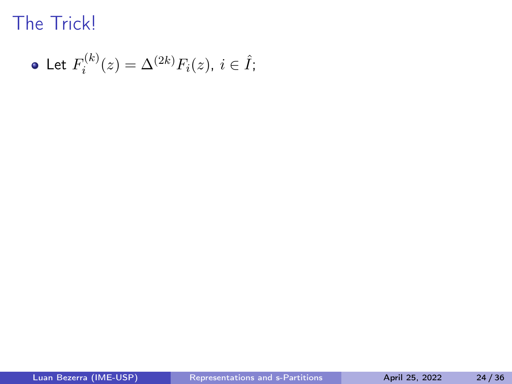• Let 
$$
F_i^{(k)}(z) = \Delta^{(2k)} F_i(z)
$$
,  $i \in \hat{I}$ ;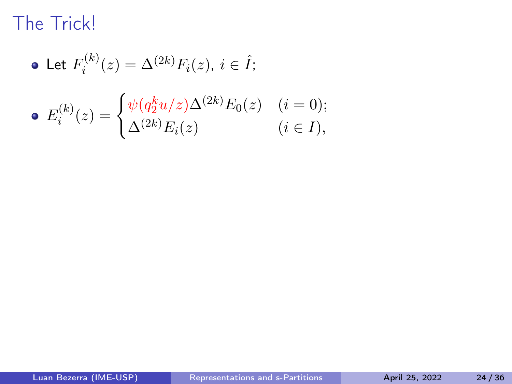\n- Let 
$$
F_i^{(k)}(z) = \Delta^{(2k)} F_i(z), \, i \in \hat{I};
$$
\n- $E_i^{(k)}(z) = \begin{cases} \psi(q_2^k u/z) \Delta^{(2k)} E_0(z) & (i = 0); \\ \Delta^{(2k)} E_i(z) & (i \in I), \end{cases}$
\n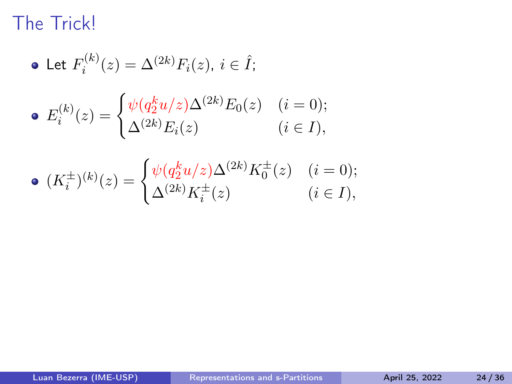$$
\bullet\ \mathsf{Let}\ F_i^{(k)}(z)=\Delta^{(2k)}F_i(z),\ i\in\hat{I};
$$

• 
$$
E_i^{(k)}(z) = \begin{cases} \psi(q_2^k u/z) \Delta^{(2k)} E_0(z) & (i = 0); \\ \Delta^{(2k)} E_i(z) & (i \in I), \end{cases}
$$

• 
$$
(K_i^{\pm})^{(k)}(z) = \begin{cases} \psi(q_2^k u/z) \Delta^{(2k)} K_0^{\pm}(z) & (i = 0); \\ \Delta^{(2k)} K_i^{\pm}(z) & (i \in I), \end{cases}
$$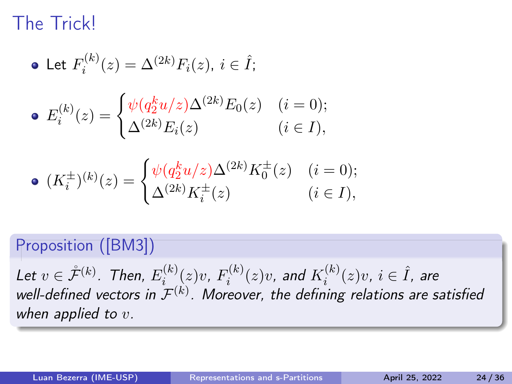• Let 
$$
F_i^{(k)}(z) = \Delta^{(2k)} F_i(z), i \in \hat{I};
$$
  
\n•  $E_i^{(k)}(z) = \begin{cases} \psi(q_2^k u/z) \Delta^{(2k)} E_0(z) & (i = 0); \\ \Delta^{(2k)} E_i(z) & (i \in I), \end{cases}$ 

• 
$$
(K_i^{\pm})^{(k)}(z) = \begin{cases} \psi(q_2^k u/z) \Delta^{(2k)} K_0^{\pm}(z) & (i = 0); \\ \Delta^{(2k)} K_i^{\pm}(z) & (i \in I), \end{cases}
$$

#### Proposition ([\[BM3\]](#page-163-0))

Let  $v \in \mathring{\mathcal{F}}^{(k)}$ . Then,  $E^{(k)}_i$  $f_i^{(k)}(z)v$ ,  $F_i^{(k)}$  $\tilde{K}_i^{(k)}(z)v$ , and  $K_i^{(k)}$  $i^{(k)}(z)v$ ,  $i \in \hat{I}$ , are well-defined vectors in  $\mathcal{F}^{(k)}$ . Moreover, the defining relations are satisfied when applied to  $v$ .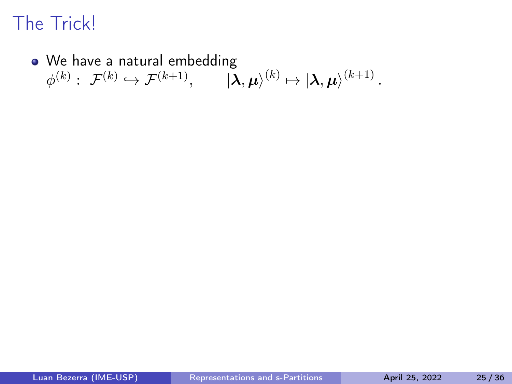#### • We have a natural embedding  $\phi^{(k)}: \; \mathcal{F}^{(k)} \hookrightarrow \mathcal{F}^{(k+1)}, \qquad \left| {\boldsymbol{\lambda},\boldsymbol{\mu}} \right\rangle^{(k)} \mapsto \left| {\boldsymbol{\lambda},\boldsymbol{\mu}} \right\rangle^{(k+1)}.$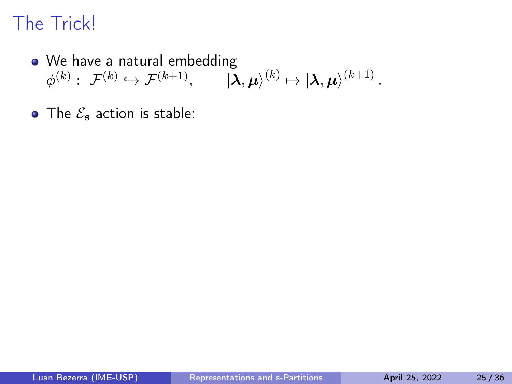- We have a natural embedding  $\phi^{(k)}: \; \mathcal{F}^{(k)} \hookrightarrow \mathcal{F}^{(k+1)}, \qquad \left| {\boldsymbol{\lambda},\boldsymbol{\mu}} \right\rangle^{(k)} \mapsto \left| {\boldsymbol{\lambda},\boldsymbol{\mu}} \right\rangle^{(k+1)}.$
- The  $\mathcal{E}_s$  action is stable: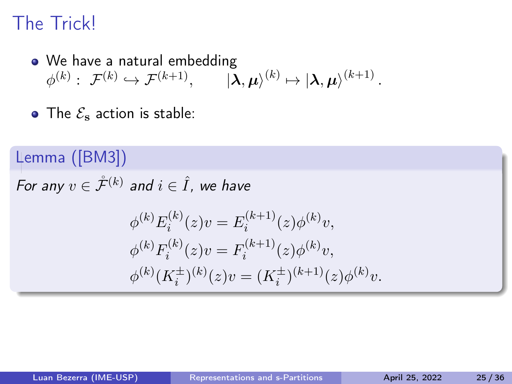- We have a natural embedding  $\phi^{(k)}: \; \mathcal{F}^{(k)} \hookrightarrow \mathcal{F}^{(k+1)}, \qquad \left| {\boldsymbol{\lambda},\boldsymbol{\mu}} \right\rangle^{(k)} \mapsto \left| {\boldsymbol{\lambda},\boldsymbol{\mu}} \right\rangle^{(k+1)}.$
- $\bullet$  The  $\mathcal{E}_{\rm s}$  action is stable:

Lemma ([\[BM3\]](#page-163-0)) For any  $v \in \mathring{\mathcal{F}}^{(k)}$  and  $i \in \hat{I}$ , we have  $\phi^{(k)}E_i^{(k)}$  $i^{(k)}(z)v = E_i^{(k+1)}$  $j_i^{(k+1)}(z) \phi^{(k)} v,$  $\phi^{(k)}F_i^{(k)}$  $f_i^{(k)}(z)v = F_i^{(k+1)}$  $j_i^{(k+1)}(z)\phi^{(k)}v,$  $\phi^{(k)}(K_i^{\pm})^{(k)}(z)v = (K_i^{\pm})^{(k+1)}(z)\phi^{(k)}v.$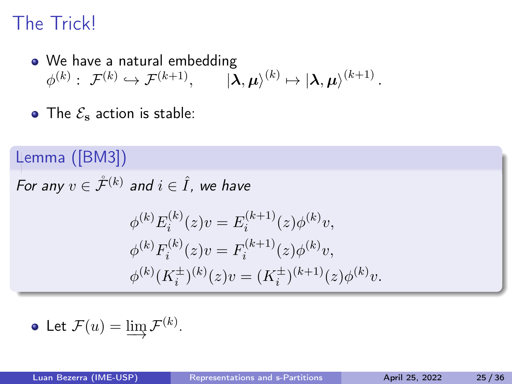• We have a natural embedding  $\phi^{(k)}: \; \mathcal{F}^{(k)} \hookrightarrow \mathcal{F}^{(k+1)}, \qquad \left| {\boldsymbol{\lambda},\boldsymbol{\mu}} \right\rangle^{(k)} \mapsto \left| {\boldsymbol{\lambda},\boldsymbol{\mu}} \right\rangle^{(k+1)}.$ 

.

• The  $\mathcal{E}_s$  action is stable:

Lemma ([\[BM3\]](#page-163-0)) For any  $v \in \mathring{\mathcal{F}}^{(k)}$  and  $i \in \hat{I}$ , we have  $\phi^{(k)}E_i^{(k)}$  $i^{(k)}(z)v = E_i^{(k+1)}$  $j_i^{(k+1)}(z) \phi^{(k)} v,$  $\phi^{(k)}F_i^{(k)}$  $f_i^{(k)}(z)v = F_i^{(k+1)}$  $j_i^{(k+1)}(z)\phi^{(k)}v,$  $\phi^{(k)}(K_i^{\pm})^{(k)}(z)v = (K_i^{\pm})^{(k+1)}(z)\phi^{(k)}v.$ 

• Let 
$$
\mathcal{F}(u) = \varinjlim \mathcal{F}^{(k)}
$$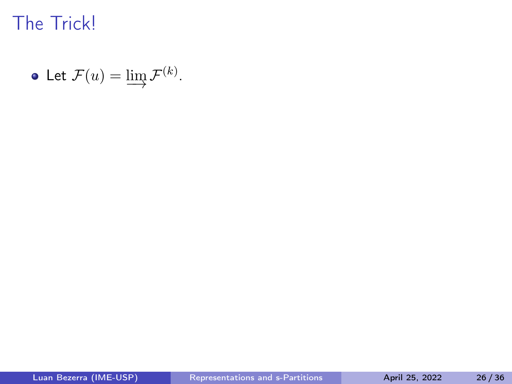• Let 
$$
\mathcal{F}(u) = \varinjlim \mathcal{F}^{(k)}
$$
.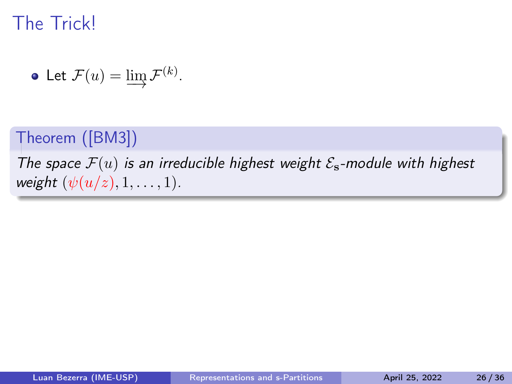• Let 
$$
\mathcal{F}(u) = \varinjlim \mathcal{F}^{(k)}
$$
.

#### Theorem ([\[BM3\]](#page-163-0))

The space  $\mathcal{F}(u)$  is an irreducible highest weight  $\mathcal{E}_s$ -module with highest weight  $(\psi(u/z), 1, \ldots, 1)$ .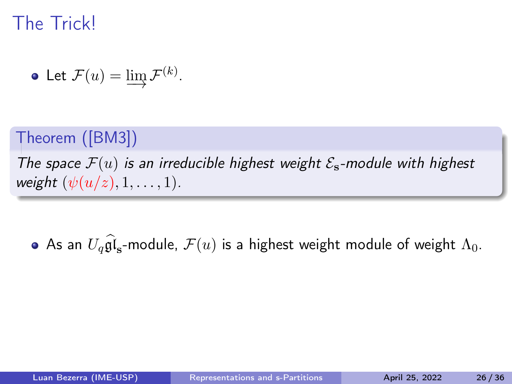• Let 
$$
\mathcal{F}(u) = \varinjlim \mathcal{F}^{(k)}
$$
.

#### Theorem ([\[BM3\]](#page-163-0))

The space  $\mathcal{F}(u)$  is an irreducible highest weight  $\mathcal{E}_s$ -module with highest weight  $(\psi(u/z), 1, \ldots, 1)$ .

As an  $U_q\mathfrak{gl}_\mathbf{s}$ -module,  $\mathcal{F}(u)$  is a highest weight module of weight  $\Lambda_0$ .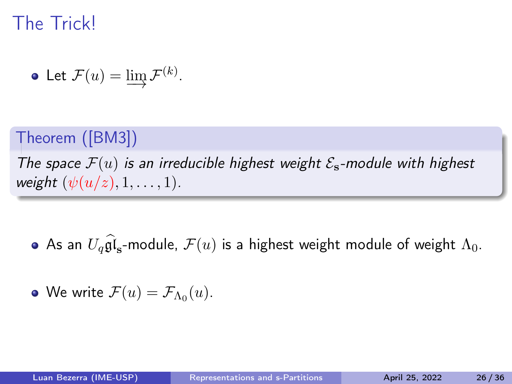• Let 
$$
\mathcal{F}(u) = \varinjlim \mathcal{F}^{(k)}
$$
.

#### Theorem ([\[BM3\]](#page-163-0))

The space  $\mathcal{F}(u)$  is an irreducible highest weight  $\mathcal{E}_s$ -module with highest weight  $(\psi(u/z), 1, \ldots, 1)$ .

As an  $U_q\mathfrak{gl}_\mathbf{s}$ -module,  $\mathcal{F}(u)$  is a highest weight module of weight  $\Lambda_0$ .

• We write 
$$
\mathcal{F}(u) = \mathcal{F}_{\Lambda_0}(u)
$$
.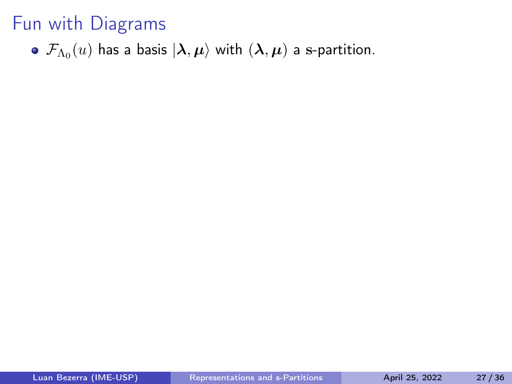$\mathcal{F}_{\Lambda_0}(u)$  has a basis  $\ket{\bm{\lambda}, \bm{\mu}}$  with  $(\bm{\lambda}, \bm{\mu})$  a s-partition.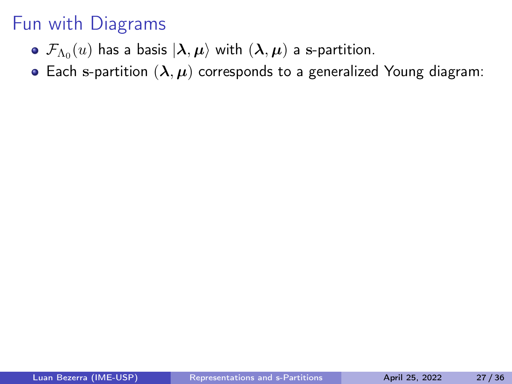- $\mathcal{F}_{\Lambda_0}(u)$  has a basis  $\ket{\bm{\lambda}, \bm{\mu}}$  with  $(\bm{\lambda}, \bm{\mu})$  a s-partition.
- Each s-partition  $(\lambda, \mu)$  corresponds to a generalized Young diagram: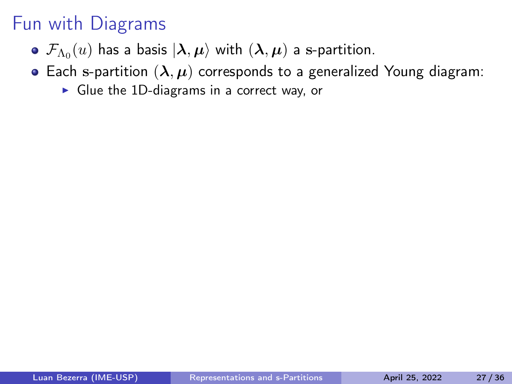- $\mathcal{F}_{\Lambda_0}(u)$  has a basis  $\ket{\bm{\lambda}, \bm{\mu}}$  with  $(\bm{\lambda}, \bm{\mu})$  a s-partition.
- Each s-partition  $(\lambda, \mu)$  corresponds to a generalized Young diagram:
	- $\triangleright$  Glue the 1D-diagrams in a correct way, or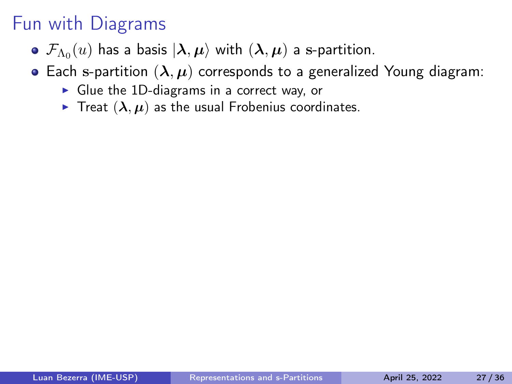- $\mathcal{F}_{\Lambda_0}(u)$  has a basis  $\ket{\bm{\lambda}, \bm{\mu}}$  with  $(\bm{\lambda}, \bm{\mu})$  a s-partition.
- Each s-partition  $(\lambda, \mu)$  corresponds to a generalized Young diagram:
	- $\triangleright$  Glue the 1D-diagrams in a correct way, or
	- $\triangleright$  Treat  $(\lambda, \mu)$  as the usual Frobenius coordinates.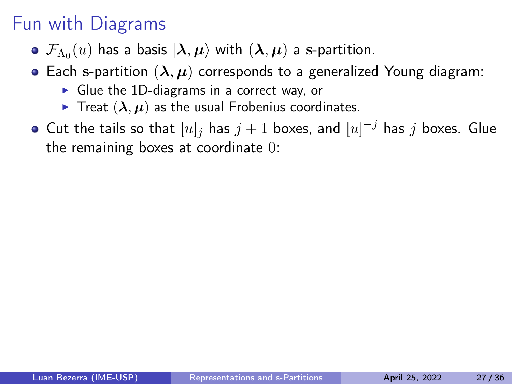- $\mathcal{F}_{\Lambda_0}(u)$  has a basis  $\ket{\bm{\lambda}, \bm{\mu}}$  with  $(\bm{\lambda}, \bm{\mu})$  a s-partition.
- Each s-partition  $(\lambda, \mu)$  corresponds to a generalized Young diagram:
	- $\triangleright$  Glue the 1D-diagrams in a correct way, or
	- $\triangleright$  Treat  $(\lambda, \mu)$  as the usual Frobenius coordinates.
- Cut the tails so that  $[u]_j$  has  $j+1$  boxes, and  $[u]^{-j}$  has  $j$  boxes. Glue the remaining boxes at coordinate 0: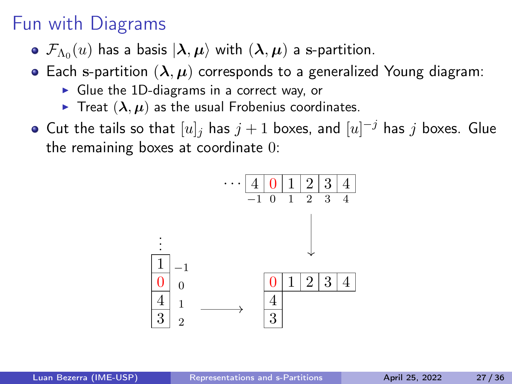- $\mathcal{F}_{\Lambda_0}(u)$  has a basis  $\ket{\bm{\lambda}, \bm{\mu}}$  with  $(\bm{\lambda}, \bm{\mu})$  a s-partition.
- Each s-partition  $(\lambda, \mu)$  corresponds to a generalized Young diagram:
	- ▶ Glue the 1D-diagrams in a correct way, or
	- $\triangleright$  Treat  $(\lambda, \mu)$  as the usual Frobenius coordinates.
- Cut the tails so that  $[u]_j$  has  $j+1$  boxes, and  $[u]^{-j}$  has  $j$  boxes. Glue the remaining boxes at coordinate 0:

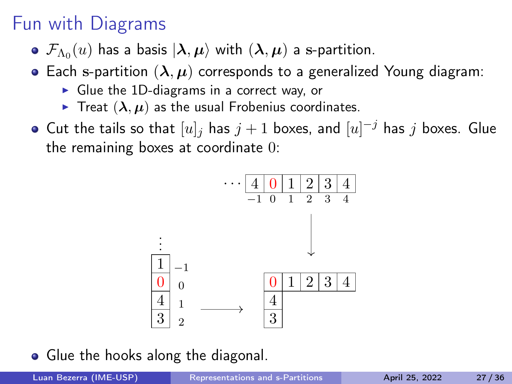- $\mathcal{F}_{\Lambda_0}(u)$  has a basis  $\ket{\bm{\lambda}, \bm{\mu}}$  with  $(\bm{\lambda}, \bm{\mu})$  a s-partition.
- Each s-partition  $(\lambda, \mu)$  corresponds to a generalized Young diagram:
	- ▶ Glue the 1D-diagrams in a correct way, or
	- $\triangleright$  Treat  $(\lambda, \mu)$  as the usual Frobenius coordinates.
- Cut the tails so that  $[u]_j$  has  $j+1$  boxes, and  $[u]^{-j}$  has  $j$  boxes. Glue the remaining boxes at coordinate 0:



• Glue the hooks along the diagonal.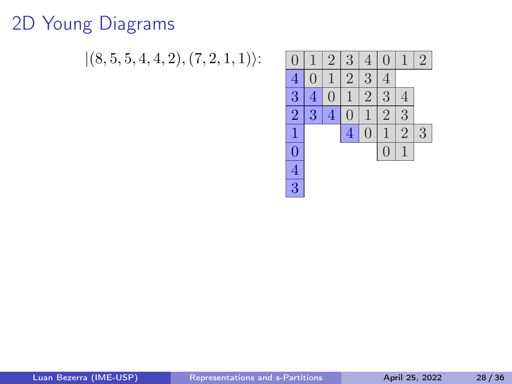# 2D Young Diagrams

 $|(8, 5, 5, 4, 4, 2), (7, 2, 1, 1)\rangle$ :

| U                       |                | 2 | 3                       | 4 | J              |                | $\overline{2}$ |
|-------------------------|----------------|---|-------------------------|---|----------------|----------------|----------------|
| 4                       |                |   | $\overline{2}$          | 3 |                |                |                |
| 3                       | 4              |   |                         | 2 | 3              | 4              |                |
| $\overline{2}$          | $\overline{3}$ | 4 |                         |   | $\overline{2}$ | 3              |                |
|                         |                |   | $\overline{\mathbf{4}}$ |   |                | $\overline{2}$ | 3              |
| $\Omega$                |                |   |                         |   | L              |                |                |
| $\overline{\mathbf{4}}$ |                |   |                         |   |                |                |                |
| 3                       |                |   |                         |   |                |                |                |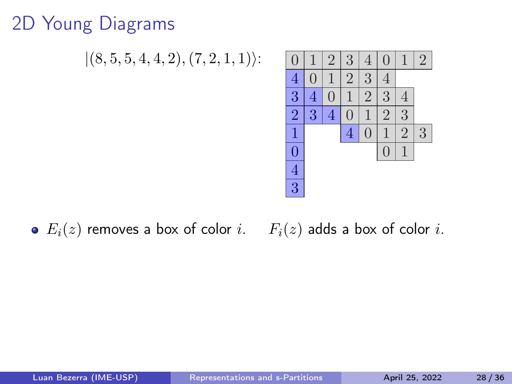# 2D Young Diagrams

 $|(8, 5, 5, 4, 4, 2), (7, 2, 1, 1)\rangle$ : 0 1 2 3 4 0 1 2



#### $\bullet$   $E_i(z)$  removes a box of color i.  $F_i(z)$  adds a box of color i.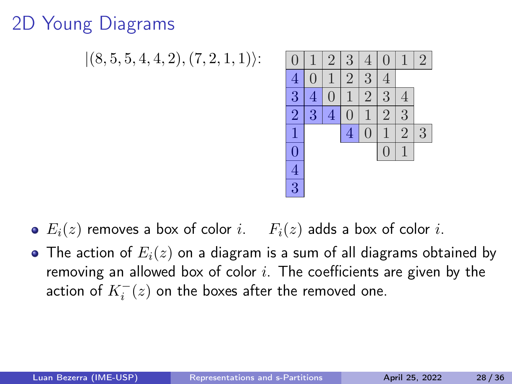# 2D Young Diagrams

 $|(8, 5, 5, 4, 4, 2), (7, 2, 1, 1)\rangle$ :



- $\bullet$   $E_i(z)$  removes a box of color i.  $F_i(z)$  adds a box of color i.
- The action of  $E_i(z)$  on a diagram is a sum of all diagrams obtained by removing an allowed box of color  $i$ . The coefficients are given by the action of  $K_i^-(z)$  on the boxes after the removed one.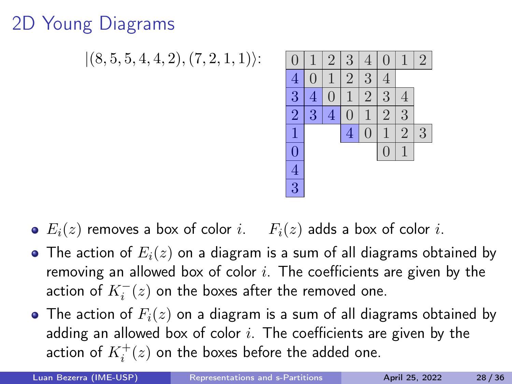# 2D Young Diagrams

 $|(8, 5, 5, 4, 4, 2), (7, 2, 1, 1)\rangle$ :



- $\bullet$   $E_i(z)$  removes a box of color i.  $F_i(z)$  adds a box of color i.
- The action of  $E_i(z)$  on a diagram is a sum of all diagrams obtained by removing an allowed box of color  $i$ . The coefficients are given by the action of  $K_i^-(z)$  on the boxes after the removed one.
- The action of  $F_i(z)$  on a diagram is a sum of all diagrams obtained by adding an allowed box of color  $i$ . The coefficients are given by the action of  $K_i^+(z)$  on the boxes before the added one.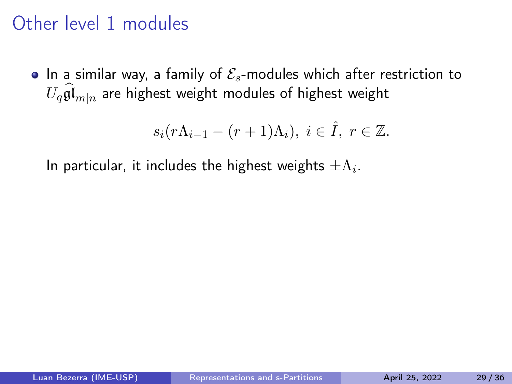## Other level 1 modules

• In a similar way, a family of  $\mathcal{E}_s$ -modules which after restriction to  $U_q\widehat{\mathfrak{gl}}_{m|n}$  are highest weight modules of highest weight

$$
s_i(r\Lambda_{i-1}-(r+1)\Lambda_i),\ i\in\hat{I},\ r\in\mathbb{Z}.
$$

In particular, it includes the highest weights  $\pm \Lambda_i.$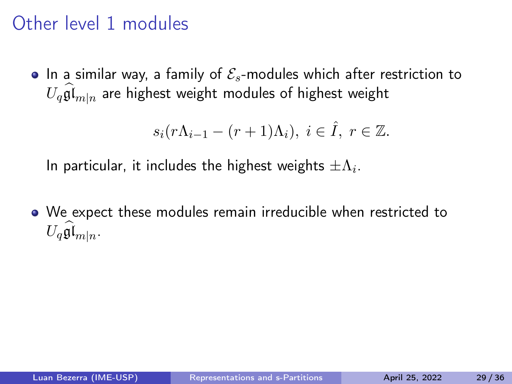## Other level 1 modules

• In a similar way, a family of  $\mathcal{E}_{s}$ -modules which after restriction to  $U_q\widehat{\mathfrak{gl}}_{m|n}$  are highest weight modules of highest weight

$$
s_i(r\Lambda_{i-1}-(r+1)\Lambda_i),\ i\in\hat{I},\ r\in\mathbb{Z}.
$$

In particular, it includes the highest weights  $\pm \Lambda_i.$ 

We expect these modules remain irreducible when restricted to  $U_q\mathfrak{gl}_{m|n}$ .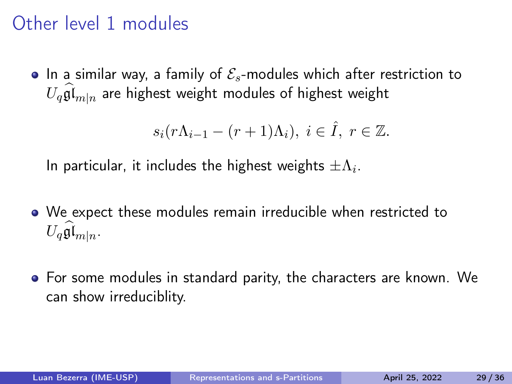## Other level 1 modules

• In a similar way, a family of  $\mathcal{E}_{s}$ -modules which after restriction to  $U_q\widehat{\mathfrak{gl}}_{m|n}$  are highest weight modules of highest weight

$$
s_i(r\Lambda_{i-1}-(r+1)\Lambda_i),\ i\in\hat{I},\ r\in\mathbb{Z}.
$$

In particular, it includes the highest weights  $\pm \Lambda_i.$ 

- We expect these modules remain irreducible when restricted to  $U_q\mathfrak{gl}_{m|n}$ .
- For some modules in standard parity, the characters are known. We can show irreduciblity.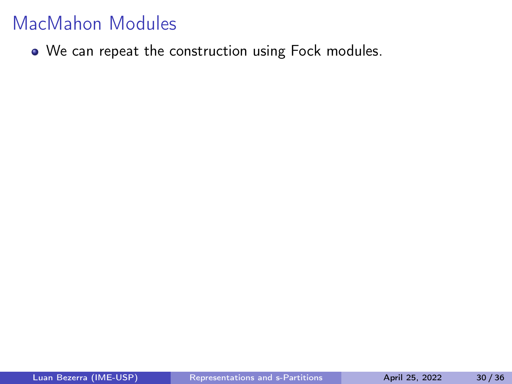• We can repeat the construction using Fock modules.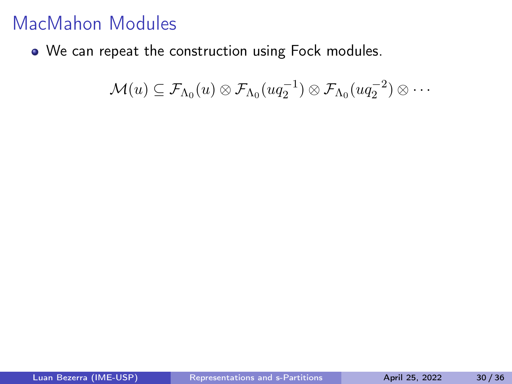• We can repeat the construction using Fock modules.

 $\mathcal{M}(u) \subseteq \mathcal{F}_{\Lambda_0}(u) \otimes \mathcal{F}_{\Lambda_0}(uq_2^{-1}) \otimes \mathcal{F}_{\Lambda_0}(uq_2^{-2}) \otimes \cdots$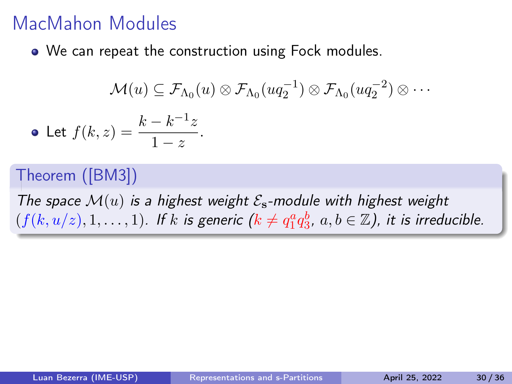We can repeat the construction using Fock modules.

$$
\mathcal{M}(u) \subseteq \mathcal{F}_{\Lambda_0}(u) \otimes \mathcal{F}_{\Lambda_0}(uq_2^{-1}) \otimes \mathcal{F}_{\Lambda_0}(uq_2^{-2}) \otimes \cdots
$$
  
• Let  $f(k, z) = \frac{k - k^{-1}z}{1 - z}$ .

#### Theorem ([\[BM3\]](#page-163-0))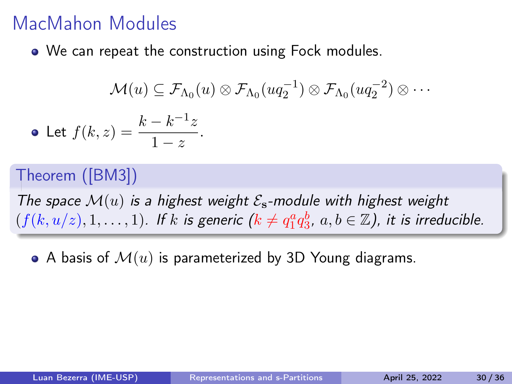• We can repeat the construction using Fock modules.

$$
\mathcal{M}(u) \subseteq \mathcal{F}_{\Lambda_0}(u) \otimes \mathcal{F}_{\Lambda_0}(uq_2^{-1}) \otimes \mathcal{F}_{\Lambda_0}(uq_2^{-2}) \otimes \cdots
$$
  
• Let  $f(k, z) = \frac{k - k^{-1}z}{1 - z}$ .

#### Theorem ([\[BM3\]](#page-163-0))

The space  $\mathcal{M}(u)$  is a highest weight  $\mathcal{E}_s$ -module with highest weight  $(f(k, u/z), 1, \ldots, 1)$ . If k is generic  $(k \neq q_1^a q_3^b, a, b \in \mathbb{Z})$ , it is irreducible.

• A basis of  $\mathcal{M}(u)$  is parameterized by 3D Young diagrams.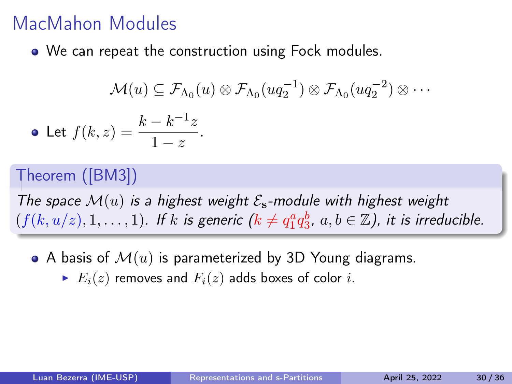• We can repeat the construction using Fock modules.

$$
\mathcal{M}(u) \subseteq \mathcal{F}_{\Lambda_0}(u) \otimes \mathcal{F}_{\Lambda_0}(uq_2^{-1}) \otimes \mathcal{F}_{\Lambda_0}(uq_2^{-2}) \otimes \cdots
$$
  
• Let  $f(k, z) = \frac{k - k^{-1}z}{1 - z}$ .

#### Theorem ([\[BM3\]](#page-163-0))

- A basis of  $\mathcal{M}(u)$  is parameterized by 3D Young diagrams.
	- $\blacktriangleright E_i(z)$  removes and  $F_i(z)$  adds boxes of color i.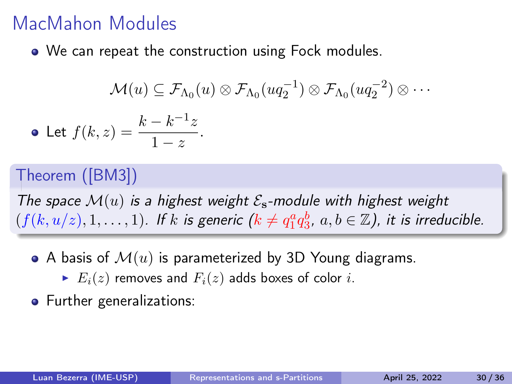• We can repeat the construction using Fock modules.

$$
\mathcal{M}(u) \subseteq \mathcal{F}_{\Lambda_0}(u) \otimes \mathcal{F}_{\Lambda_0}(uq_2^{-1}) \otimes \mathcal{F}_{\Lambda_0}(uq_2^{-2}) \otimes \cdots
$$
  
• Let  $f(k, z) = \frac{k - k^{-1}z}{1 - z}$ .

#### Theorem ([\[BM3\]](#page-163-0))

- A basis of  $\mathcal{M}(u)$  is parameterized by 3D Young diagrams.
	- $\blacktriangleright E_i(z)$  removes and  $F_i(z)$  adds boxes of color i.
- **•** Further generalizations: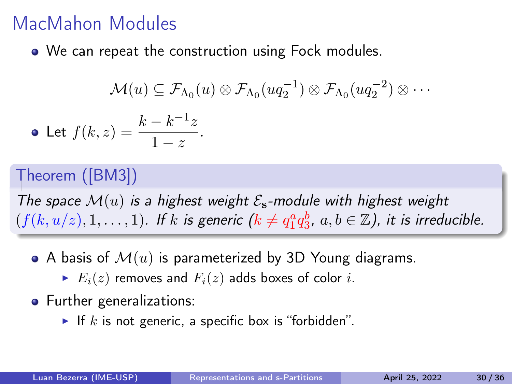• We can repeat the construction using Fock modules.

$$
\mathcal{M}(u) \subseteq \mathcal{F}_{\Lambda_0}(u) \otimes \mathcal{F}_{\Lambda_0}(uq_2^{-1}) \otimes \mathcal{F}_{\Lambda_0}(uq_2^{-2}) \otimes \cdots
$$
  
• Let  $f(k, z) = \frac{k - k^{-1}z}{1 - z}$ .

#### Theorem ([\[BM3\]](#page-163-0))

- A basis of  $\mathcal{M}(u)$  is parameterized by 3D Young diagrams.
	- $\blacktriangleright E_i(z)$  removes and  $F_i(z)$  adds boxes of color i.
- **•** Further generalizations:
	- If k is not generic, a specific box is "forbidden".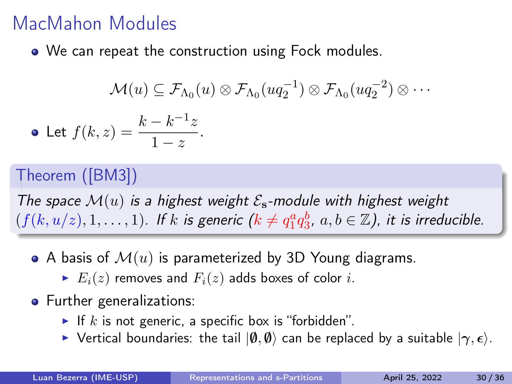• We can repeat the construction using Fock modules.

$$
\mathcal{M}(u) \subseteq \mathcal{F}_{\Lambda_0}(u) \otimes \mathcal{F}_{\Lambda_0}(uq_2^{-1}) \otimes \mathcal{F}_{\Lambda_0}(uq_2^{-2}) \otimes \cdots
$$
  
• Let  $f(k, z) = \frac{k - k^{-1}z}{1 - z}$ .

#### Theorem ([\[BM3\]](#page-163-0))

- A basis of  $\mathcal{M}(u)$  is parameterized by 3D Young diagrams.
	- $\blacktriangleright E_i(z)$  removes and  $F_i(z)$  adds boxes of color i.
- **•** Further generalizations:
	- If k is not generic, a specific box is "forbidden".
	- $\triangleright$  Vertical boundaries: the tail  $|ψ, ψ⟩$  can be replaced by a suitable  $|γ, ε⟩$ .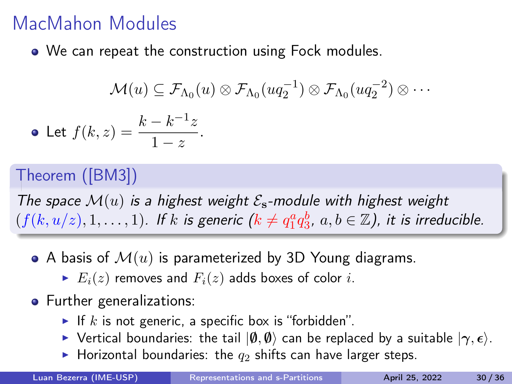• We can repeat the construction using Fock modules.

$$
\mathcal{M}(u) \subseteq \mathcal{F}_{\Lambda_0}(u) \otimes \mathcal{F}_{\Lambda_0}(uq_2^{-1}) \otimes \mathcal{F}_{\Lambda_0}(uq_2^{-2}) \otimes \cdots
$$
  
• Let  $f(k, z) = \frac{k - k^{-1}z}{1 - z}$ .

#### Theorem ([\[BM3\]](#page-163-0))

- A basis of  $\mathcal{M}(u)$  is parameterized by 3D Young diagrams.
	- $\blacktriangleright E_i(z)$  removes and  $F_i(z)$  adds boxes of color i.
- **•** Further generalizations:
	- If k is not generic, a specific box is "forbidden".
	- $\triangleright$  Vertical boundaries: the tail  $|ψ, ψ⟩$  can be replaced by a suitable  $|γ, ε⟩$ .
	- $\blacktriangleright$  Horizontal boundaries: the  $q_2$  shifts can have larger steps.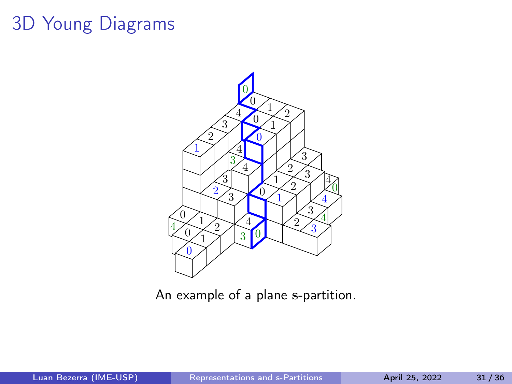# 3D Young Diagrams



An example of a plane s-partition.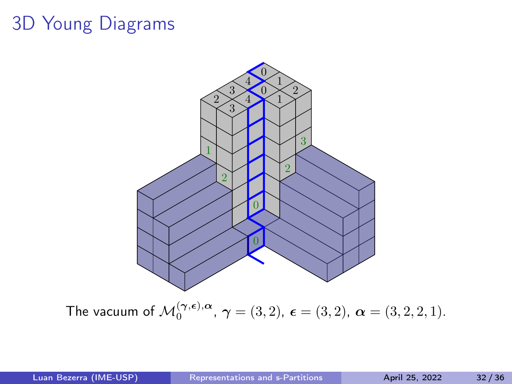## 3D Young Diagrams



The vacuum of  $\mathcal{M}_{0}^{(\boldsymbol{\gamma},\boldsymbol{\epsilon}),\boldsymbol{\alpha}},\,\boldsymbol{\gamma}=(3,2),\,\boldsymbol{\epsilon}=(3,2),\,\boldsymbol{\alpha}=(3,2,2,1).$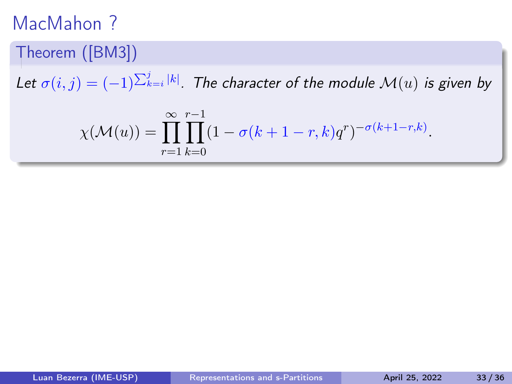#### Theorem ([\[BM3\]](#page-163-0))

Let  $\sigma(i,j)=(-1)^{\sum_{k=i}^j \vert k\vert}$ . The character of the module  $\mathcal{M}(u)$  is given by

$$
\chi(\mathcal{M}(u)) = \prod_{r=1}^{\infty} \prod_{k=0}^{r-1} (1 - \sigma(k+1-r, k)q^r)^{-\sigma(k+1-r, k)}.
$$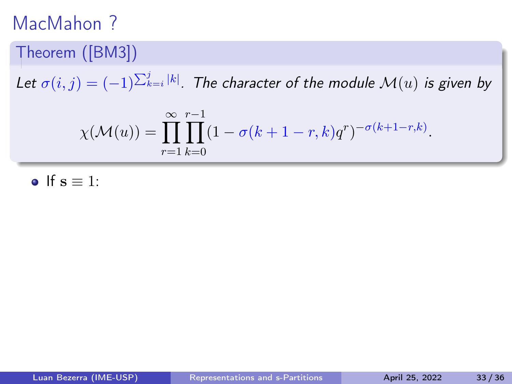#### Theorem ([\[BM3\]](#page-163-0))

Let  $\sigma(i,j)=(-1)^{\sum_{k=i}^j \vert k\vert}$ . The character of the module  $\mathcal{M}(u)$  is given by

$$
\chi(\mathcal{M}(u)) = \prod_{r=1}^{\infty} \prod_{k=0}^{r-1} (1 - \sigma(k+1-r, k)q^r)^{-\sigma(k+1-r, k)}.
$$

o If  $s \equiv 1$ :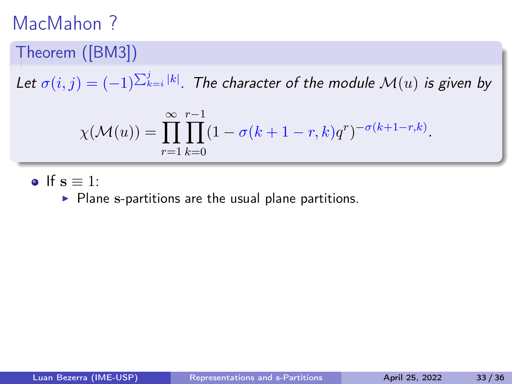#### Theorem ([\[BM3\]](#page-163-0))

Let  $\sigma(i,j)=(-1)^{\sum_{k=i}^j \vert k\vert}$ . The character of the module  $\mathcal{M}(u)$  is given by

$$
\chi(\mathcal{M}(u)) = \prod_{r=1}^{\infty} \prod_{k=0}^{r-1} (1 - \sigma(k+1-r, k)q^r)^{-\sigma(k+1-r, k)}.
$$

o If  $s \equiv 1$ :

▶ Plane s-partitions are the usual plane partitions.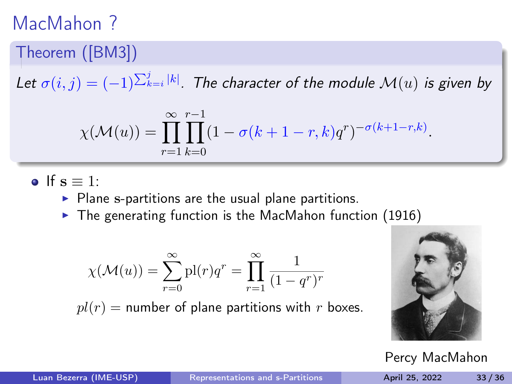#### Theorem ([\[BM3\]](#page-163-0))

Let  $\sigma(i,j)=(-1)^{\sum_{k=i}^j \vert k\vert}$ . The character of the module  $\mathcal{M}(u)$  is given by

$$
\chi(\mathcal{M}(u)) = \prod_{r=1}^{\infty} \prod_{k=0}^{r-1} (1 - \sigma(k+1-r, k)q^r)^{-\sigma(k+1-r, k)}.
$$

o If  $s \equiv 1$ :

- $\triangleright$  Plane s-partitions are the usual plane partitions.
- $\blacktriangleright$  The generating function is the MacMahon function (1916)

$$
\chi(\mathcal{M}(u)) = \sum_{r=0}^{\infty} \mathrm{pl}(r)q^r = \prod_{r=1}^{\infty} \frac{1}{(1-q^r)^r}
$$

 $pl(r)$  = number of plane partitions with r boxes.



Percy MacMahon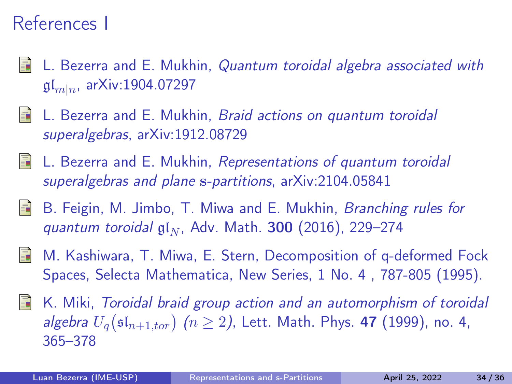# References I

- L. Bezerra and E. Mukhin, Quantum toroidal algebra associated with  $\mathfrak{gl}_{m|n}$ , arXiv:1904.07297
- L. Bezerra and E. Mukhin, Braid actions on quantum toroidal superalgebras, arXiv:1912.08729
- <span id="page-163-0"></span>L. Bezerra and E. Mukhin, Representations of quantum toroidal superalgebras and plane s-partitions, arXiv:2104.05841
- B. Feigin, M. Jimbo, T. Miwa and E. Mukhin, Branching rules for 歸 quantum toroidal  $\mathfrak{gl}_N$ , Adv. Math. 300 (2016), 229–274
- M. Kashiwara, T. Miwa, E. Stern, Decomposition of q-deformed Fock Spaces, Selecta Mathematica, New Series, 1 No. 4 , 787-805 (1995).
- 手 K. Miki, Toroidal braid group action and an automorphism of toroidal algebra  $U_q(\mathfrak{sl}_{n+1,tor})$   $(n \geq 2)$ , Lett. Math. Phys. 47 (1999), no. 4, 365–378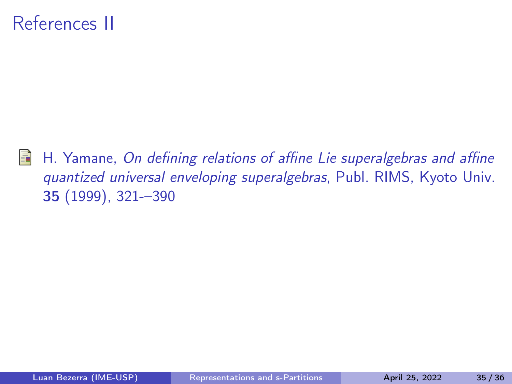# References II

H. Yamane, On defining relations of affine Lie superalgebras and affine Ħ quantized universal enveloping superalgebras, Publ. RIMS, Kyoto Univ. 35 (1999), 321-–390